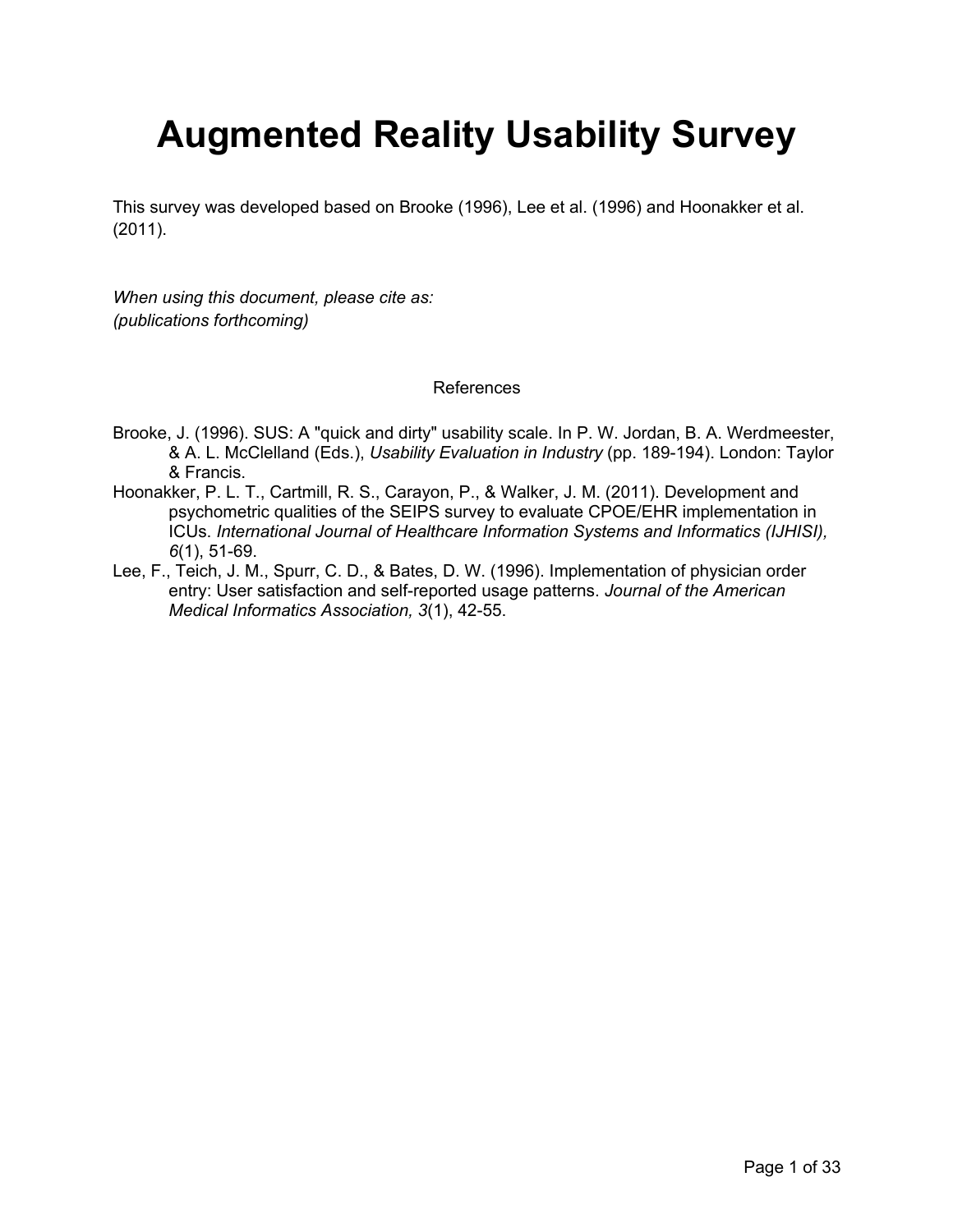## **Augmented Reality Usability Survey**

This survey was developed based on Brooke (1996), Lee et al. (1996) and Hoonakker et al. (2011).

*When using this document, please cite as: (publications forthcoming)*

References

- Brooke, J. (1996). SUS: A "quick and dirty" usability scale. In P. W. Jordan, B. A. Werdmeester, & A. L. McClelland (Eds.), *Usability Evaluation in Industry* (pp. 189-194). London: Taylor & Francis.
- Hoonakker, P. L. T., Cartmill, R. S., Carayon, P., & Walker, J. M. (2011). Development and psychometric qualities of the SEIPS survey to evaluate CPOE/EHR implementation in ICUs. *International Journal of Healthcare Information Systems and Informatics (IJHISI), 6*(1), 51-69.
- Lee, F., Teich, J. M., Spurr, C. D., & Bates, D. W. (1996). Implementation of physician order entry: User satisfaction and self-reported usage patterns. *Journal of the American Medical Informatics Association, 3*(1), 42-55.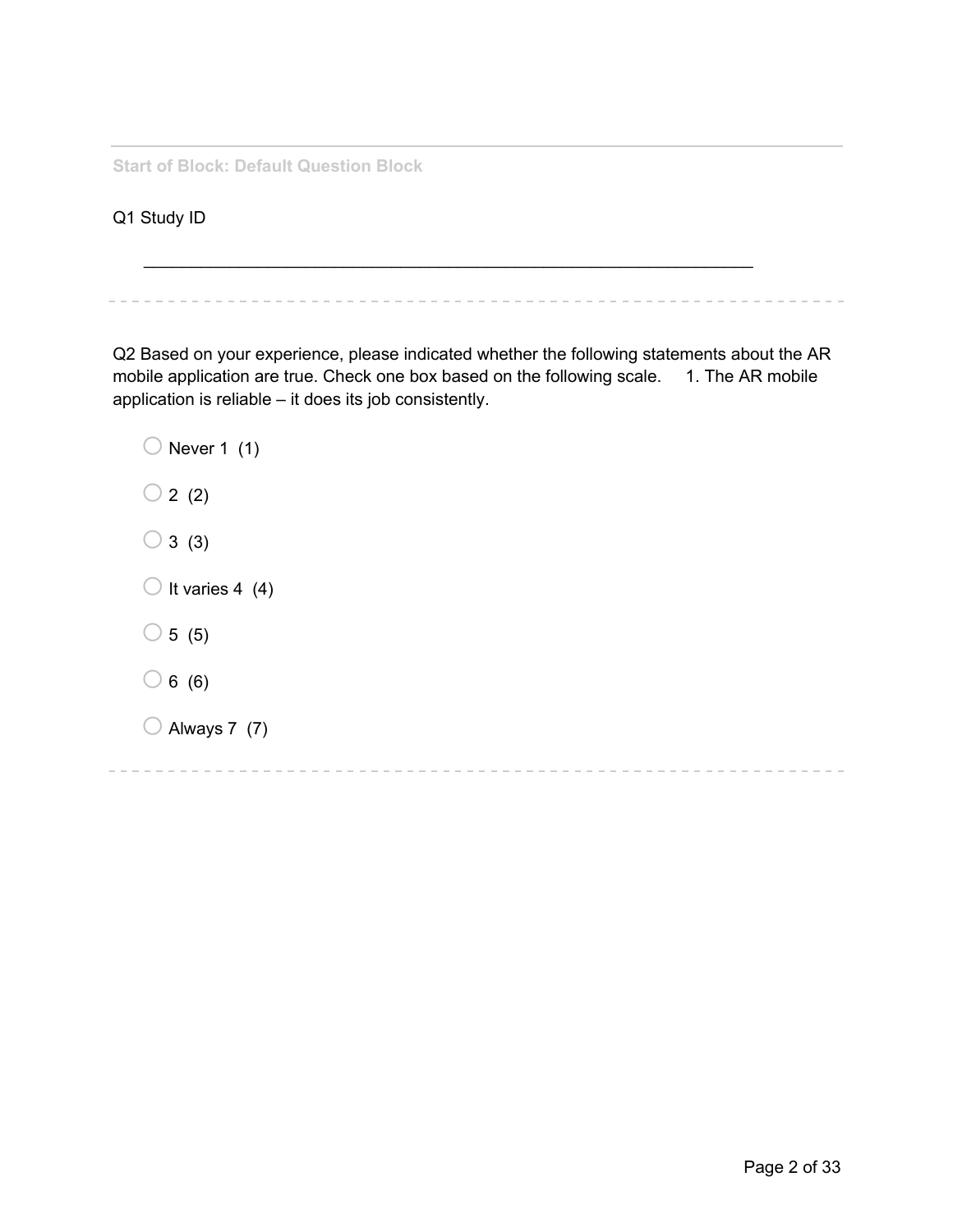**Start of Block: Default Question Block**

Q1 Study ID

Q2 Based on your experience, please indicated whether the following statements about the AR mobile application are true. Check one box based on the following scale. 1. The AR mobile application is reliable – it does its job consistently.

 $\_$ 

 $\bigcirc$  Never 1 (1)  $\bigcirc$  2 (2)  $\bigcirc$  3 (3)  $\bigcirc$  It varies 4 (4)  $\bigcirc$  5 (5)  $\bigcirc$  6 (6)  $\bigcirc$  Always 7 (7)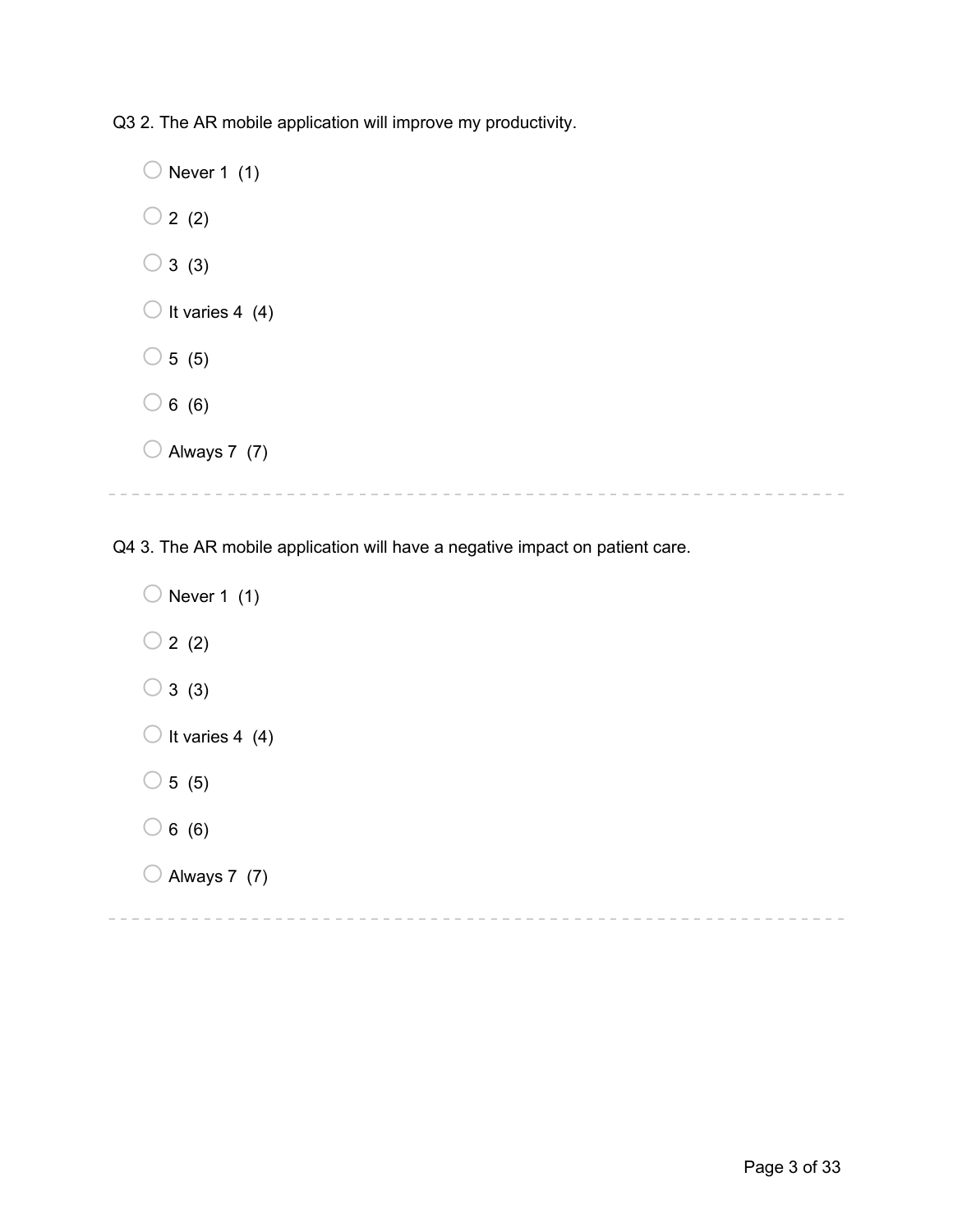Q3 2. The AR mobile application will improve my productivity.

 $\bigcirc$  Never 1 (1)  $\bigcirc$  2 (2)  $\bigcirc$  3 (3)  $\bigcirc$  It varies 4 (4)  $\bigcirc$  5 (5)  $\bigcirc$  6 (6)  $\bigcirc$  Always 7 (7)

Q4 3. The AR mobile application will have a negative impact on patient care.

 $\bigcirc$  Never 1 (1)  $\bigcirc$  2 (2)  $\bigcirc$  3 (3)  $\bigcirc$  It varies 4 (4)  $\bigcirc$  5 (5)  $\bigcirc$  6 (6)  $\bigcirc$  Always 7 (7)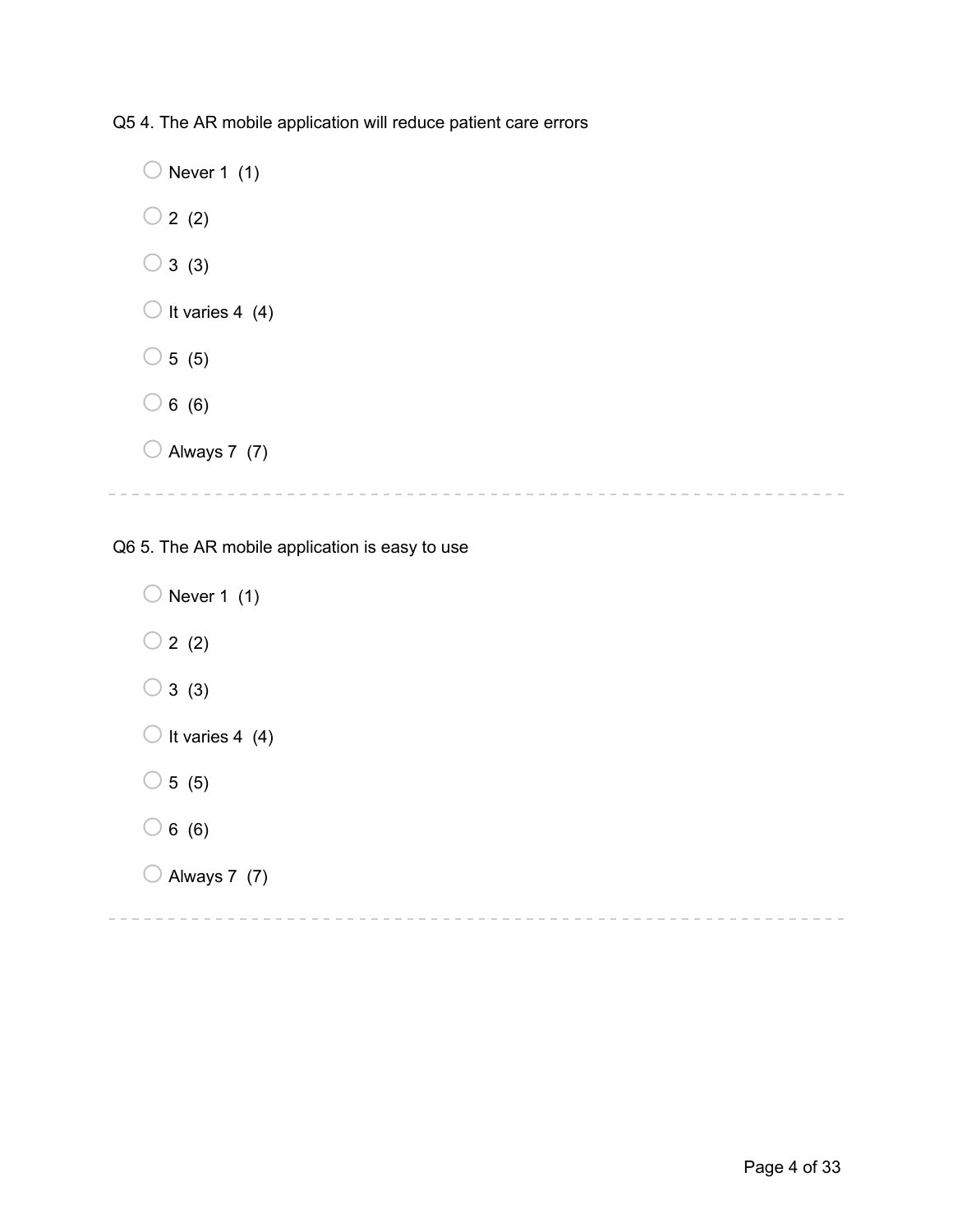Q5 4. The AR mobile application will reduce patient care errors

 $\bigcirc$  Never 1 (1)  $\bigcirc$  2 (2)  $\bigcirc$  3 (3)  $\bigcirc$  It varies 4 (4)  $\bigcirc$  5 (5)  $\bigcirc$  6 (6)  $\bigcirc$  Always 7 (7)

Q6 5. The AR mobile application is easy to use

 $\bigcirc$  Never 1 (1)  $\bigcirc$  2 (2)  $\bigcirc$  3 (3)  $\bigcirc$  It varies 4 (4)  $\circ$  5 (5)  $\bigcirc$  6 (6)  $\bigcirc$  Always 7 (7)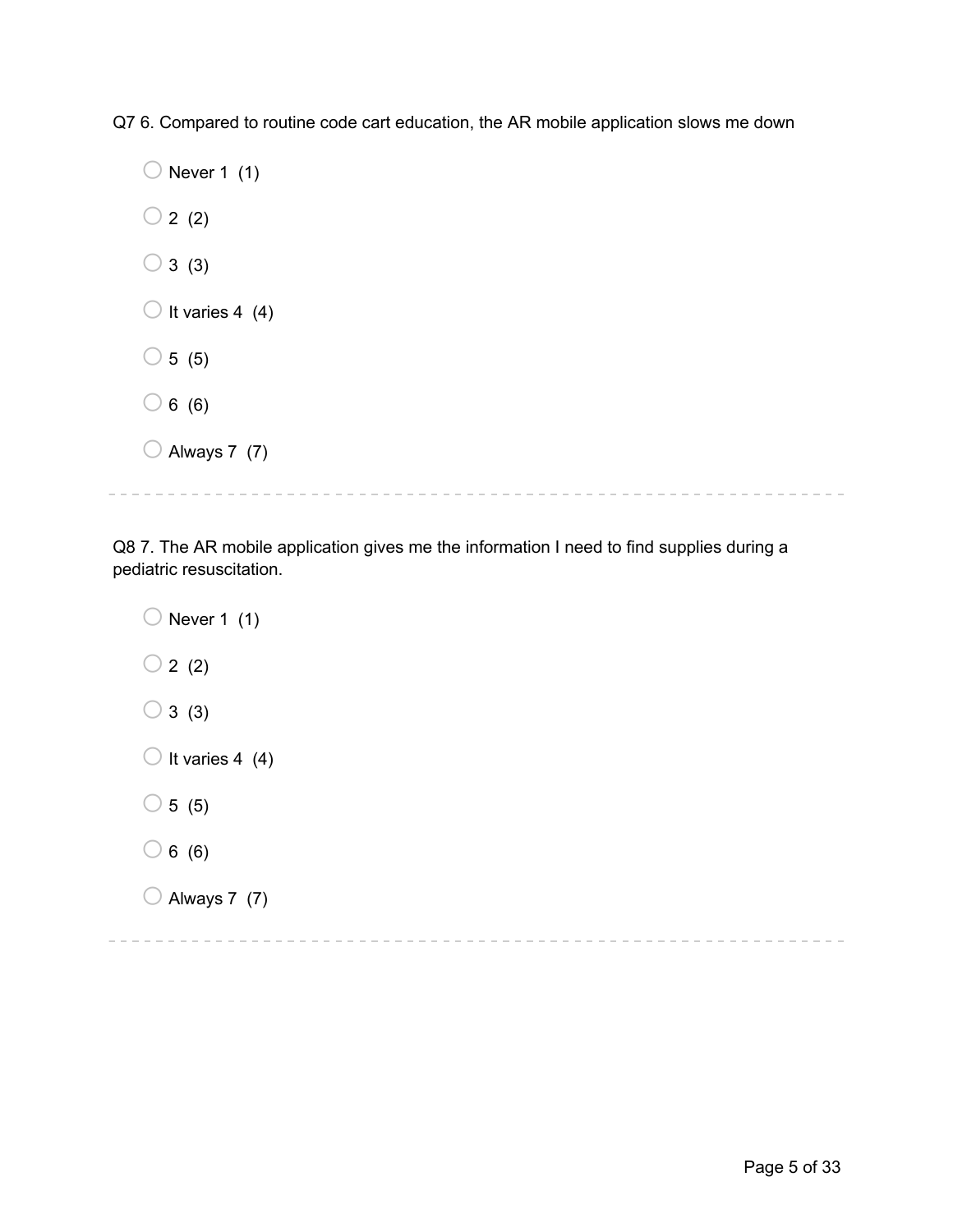Q7 6. Compared to routine code cart education, the AR mobile application slows me down

 $\bigcirc$  Never 1 (1)  $\bigcirc$  2 (2)  $\bigcirc$  3 (3)  $\bigcirc$  It varies 4 (4)  $\bigcirc$  5 (5)  $\bigcirc$  6 (6)  $\bigcirc$  Always 7 (7)

Q8 7. The AR mobile application gives me the information I need to find supplies during a pediatric resuscitation.

 $\bigcirc$  Never 1 (1)  $\bigcirc$  2 (2)  $\bigcirc$  3 (3)  $\bigcirc$  It varies 4 (4)  $\bigcirc$  5 (5)  $\bigcirc$  6 (6)  $\bigcirc$  Always 7 (7)

\_\_\_\_\_\_\_\_\_\_\_\_\_\_\_\_\_\_\_\_\_\_\_\_\_\_\_\_ . . . . . . . . . . . . . . . . . . .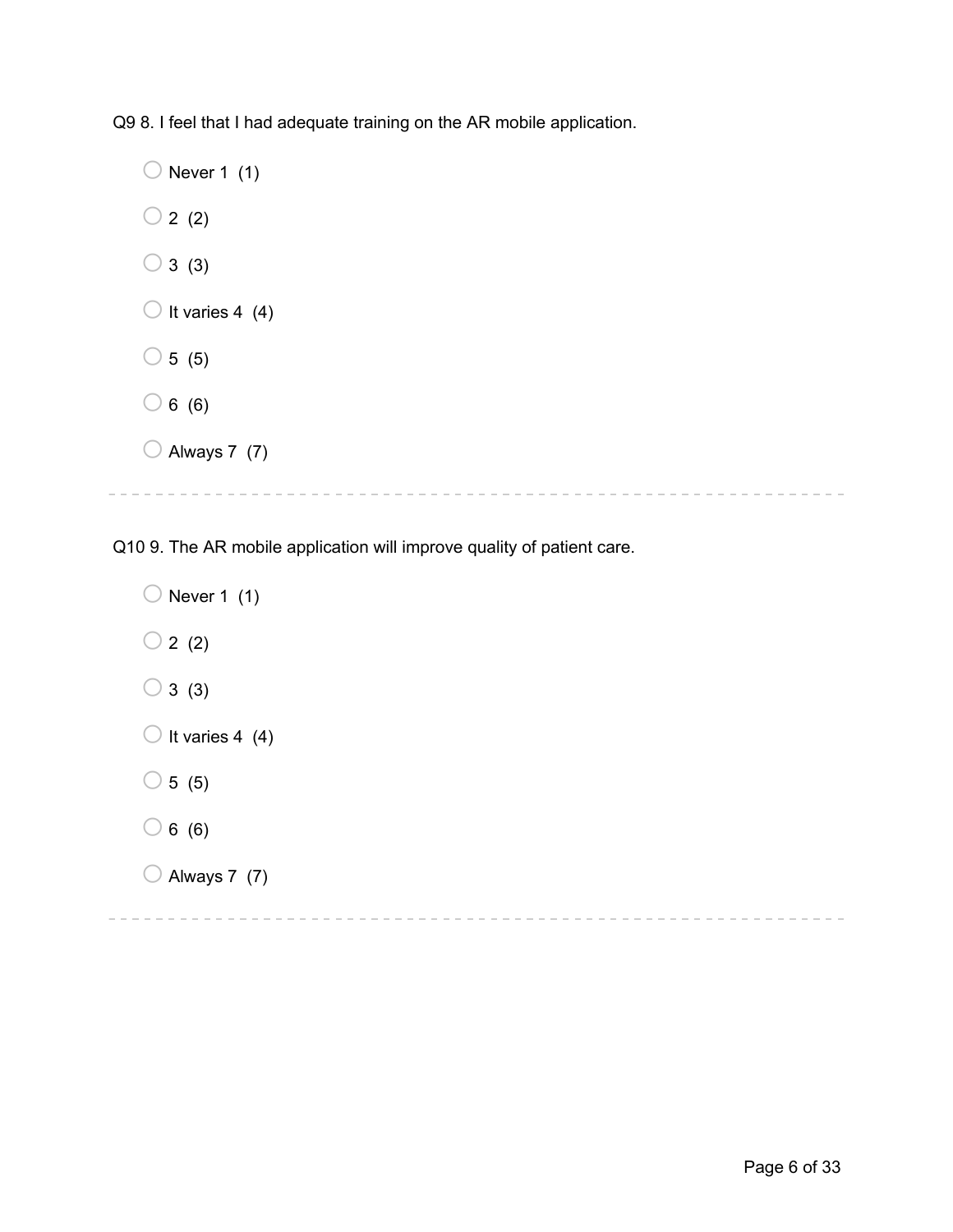Q9 8. I feel that I had adequate training on the AR mobile application.

 $\bigcirc$  Never 1 (1)  $\bigcirc$  2 (2)  $\bigcirc$  3 (3)  $\bigcirc$  It varies 4 (4)  $\bigcirc$  5 (5)  $\bigcirc$  6 (6)  $\bigcirc$  Always 7 (7)

Q10 9. The AR mobile application will improve quality of patient care.

 $\bigcirc$  Never 1 (1)  $\bigcirc$  2 (2)  $\bigcirc$  3 (3)  $\bigcirc$  It varies 4 (4)  $\bigcirc$  5 (5)  $\bigcirc$  6 (6)  $\bigcirc$  Always 7 (7)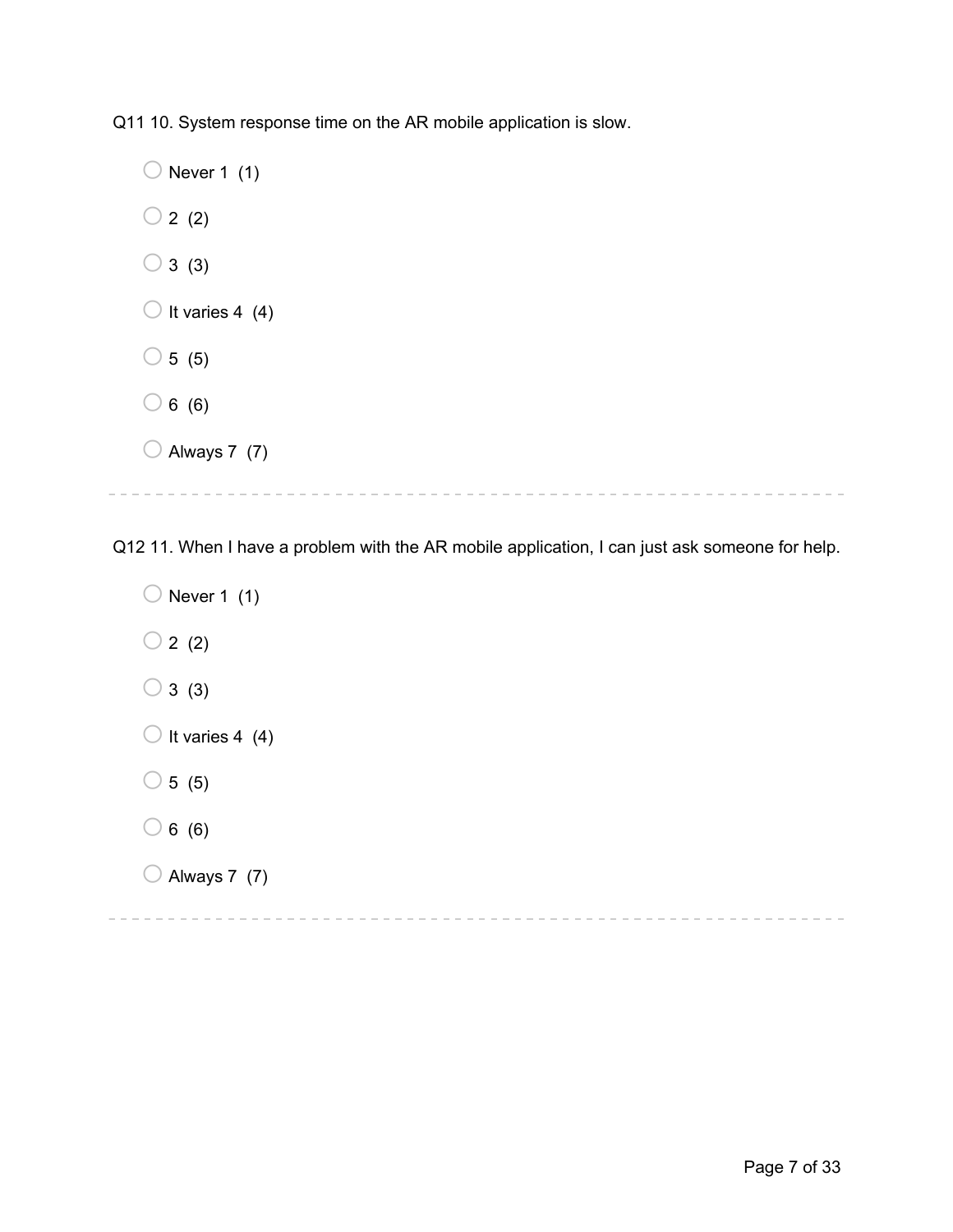Q11 10. System response time on the AR mobile application is slow.

 $\bigcirc$  Never 1 (1)  $\bigcirc$  2 (2)  $\bigcirc$  3 (3)  $\bigcirc$  It varies 4 (4)  $\bigcirc$  5 (5)  $\bigcirc$  6 (6)  $\bigcirc$  Always 7 (7) 

Q12 11. When I have a problem with the AR mobile application, I can just ask someone for help.

 $\bigcirc$  Never 1 (1)  $\bigcirc$  2 (2)  $\bigcirc$  3 (3)  $\bigcirc$  It varies 4 (4)  $\bigcirc$  5 (5)  $\bigcirc$  6 (6)  $\bigcirc$  Always 7 (7)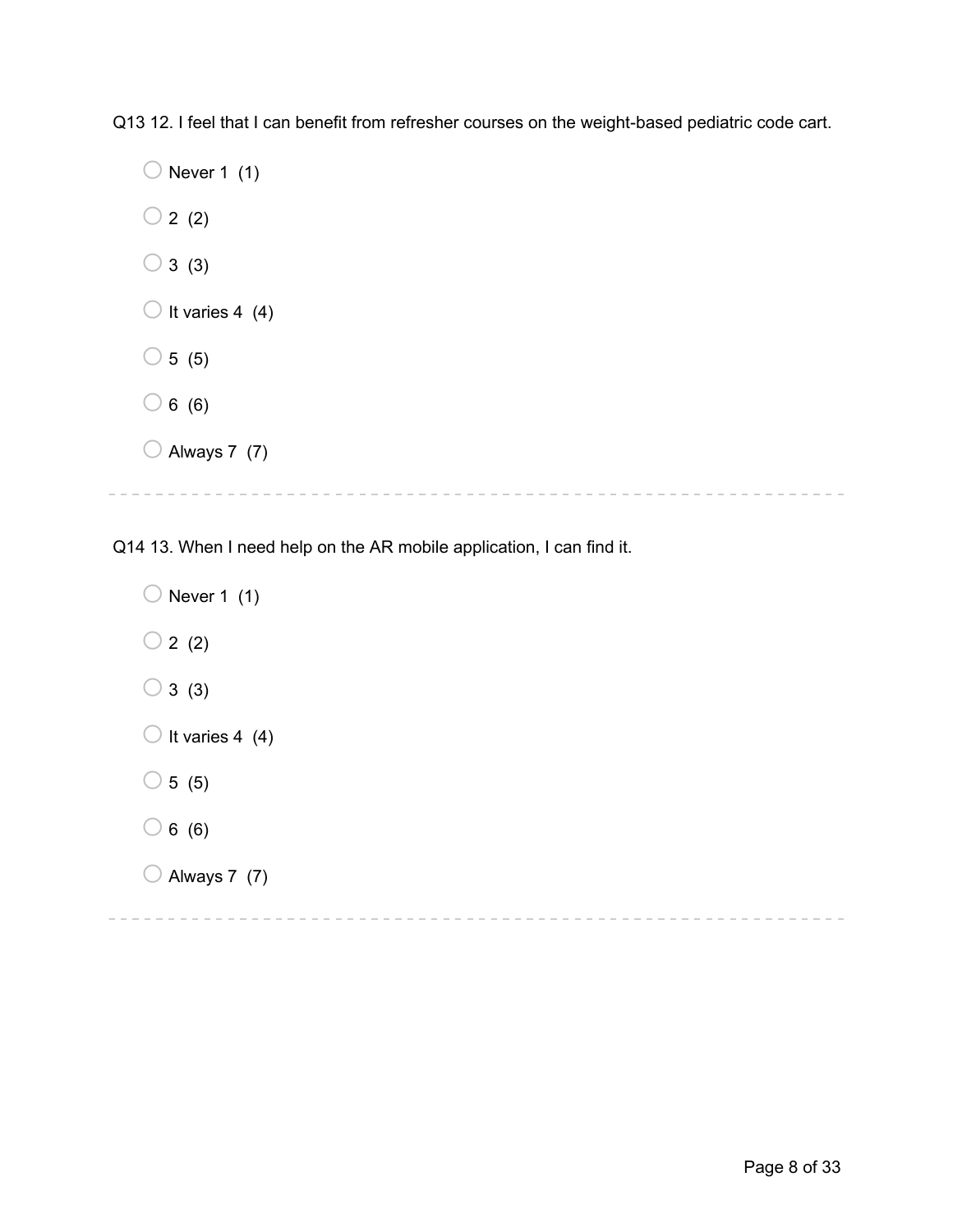Q13 12. I feel that I can benefit from refresher courses on the weight-based pediatric code cart.

 $\bigcirc$  Never 1 (1)  $\bigcirc$  2 (2)  $\bigcirc$  3 (3)  $\bigcirc$  It varies 4 (4)  $\circ$  5 (5)  $\bigcirc$  6 (6)  $\bigcirc$  Always 7 (7)

Q14 13. When I need help on the AR mobile application, I can find it.

 $\bigcirc$  Never 1 (1)  $\bigcirc$  2 (2)  $\bigcirc$  3 (3)  $\bigcirc$  It varies 4 (4)  $\bigcirc$  5 (5)  $\bigcirc$  6 (6)  $\bigcirc$  Always 7 (7)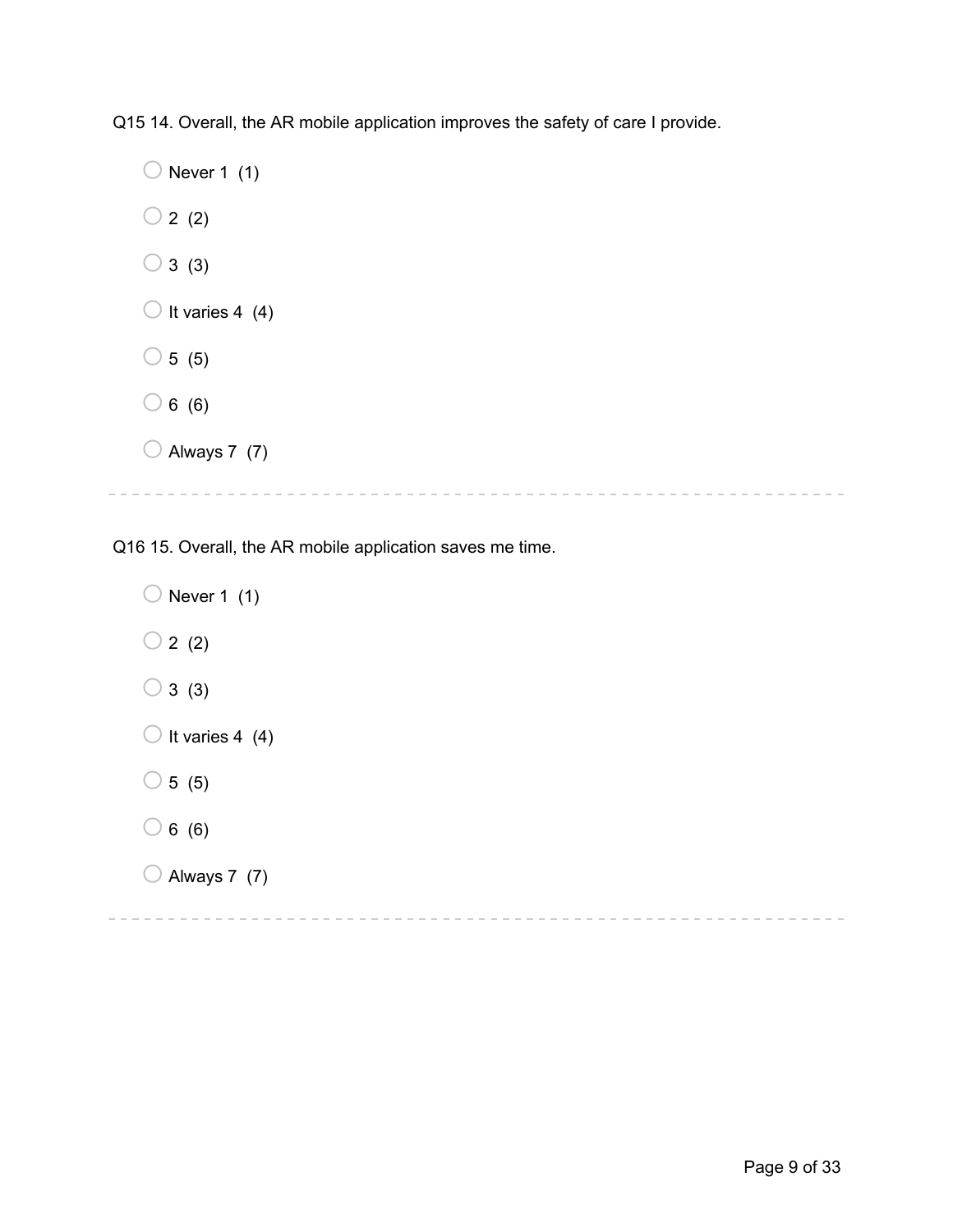Q15 14. Overall, the AR mobile application improves the safety of care I provide.

 $\bigcirc$  Never 1 (1)  $\bigcirc$  2 (2)  $\bigcirc$  3 (3)  $\bigcirc$  It varies 4 (4)  $\circ$  5 (5)  $\bigcirc$  6 (6)  $\bigcirc$  Always 7 (7)

Q16 15. Overall, the AR mobile application saves me time.

 $\bigcirc$  Never 1 (1)  $\bigcirc$  2 (2)  $\bigcirc$  3 (3)  $\bigcirc$  It varies 4 (4)  $\bigcirc$  5 (5)  $\bigcirc$  6 (6)  $\bigcirc$  Always 7 (7)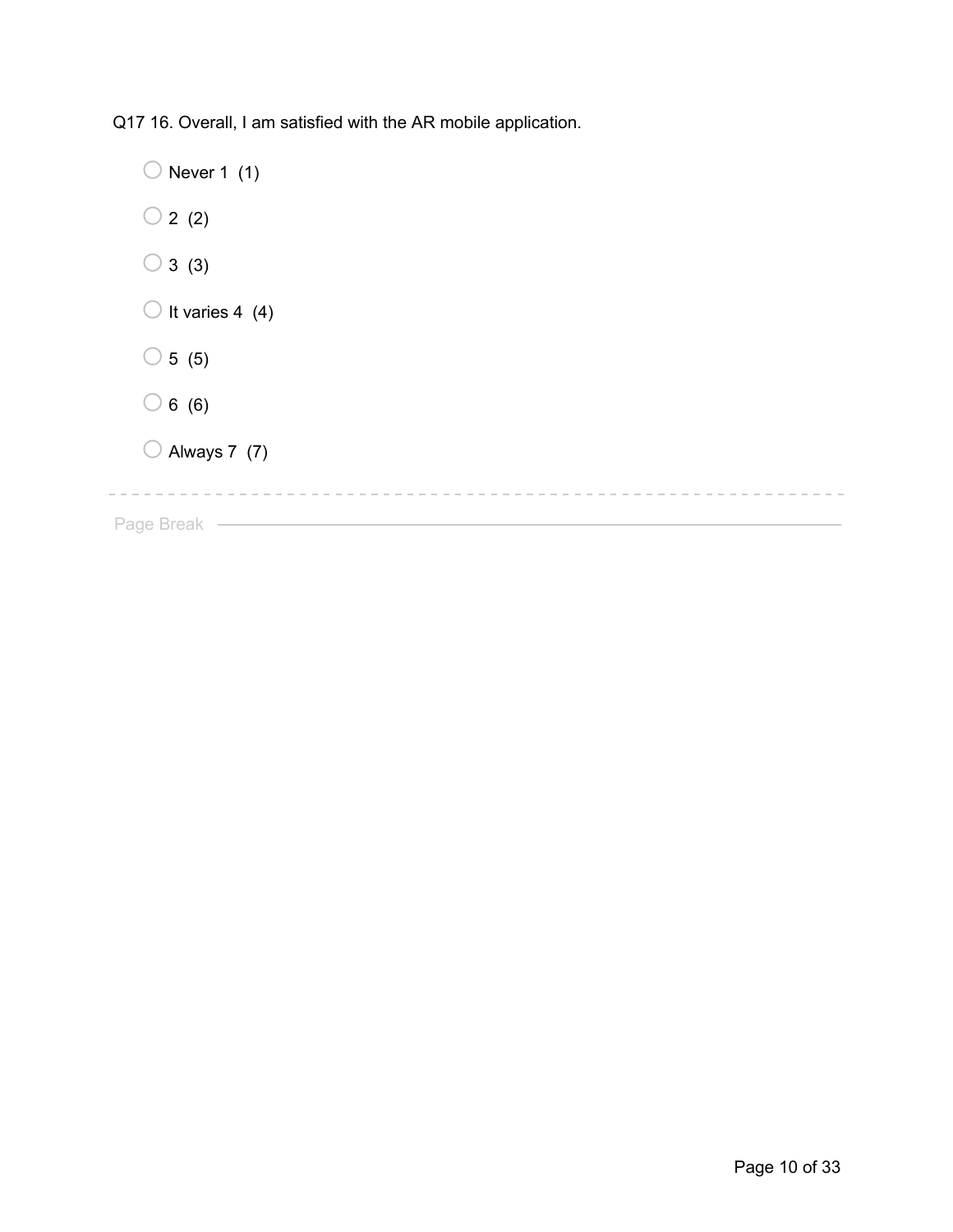Q17 16. Overall, I am satisfied with the AR mobile application.

 $\bigcirc$  Never 1 (1)  $\bigcirc$  2 (2)  $\bigcirc$  3 (3)  $\bigcirc$  It varies 4 (4)  $\bigcirc$  5 (5)  $\bigcirc$  6 (6)  $\bigcirc$  Always 7 (7) Page Break —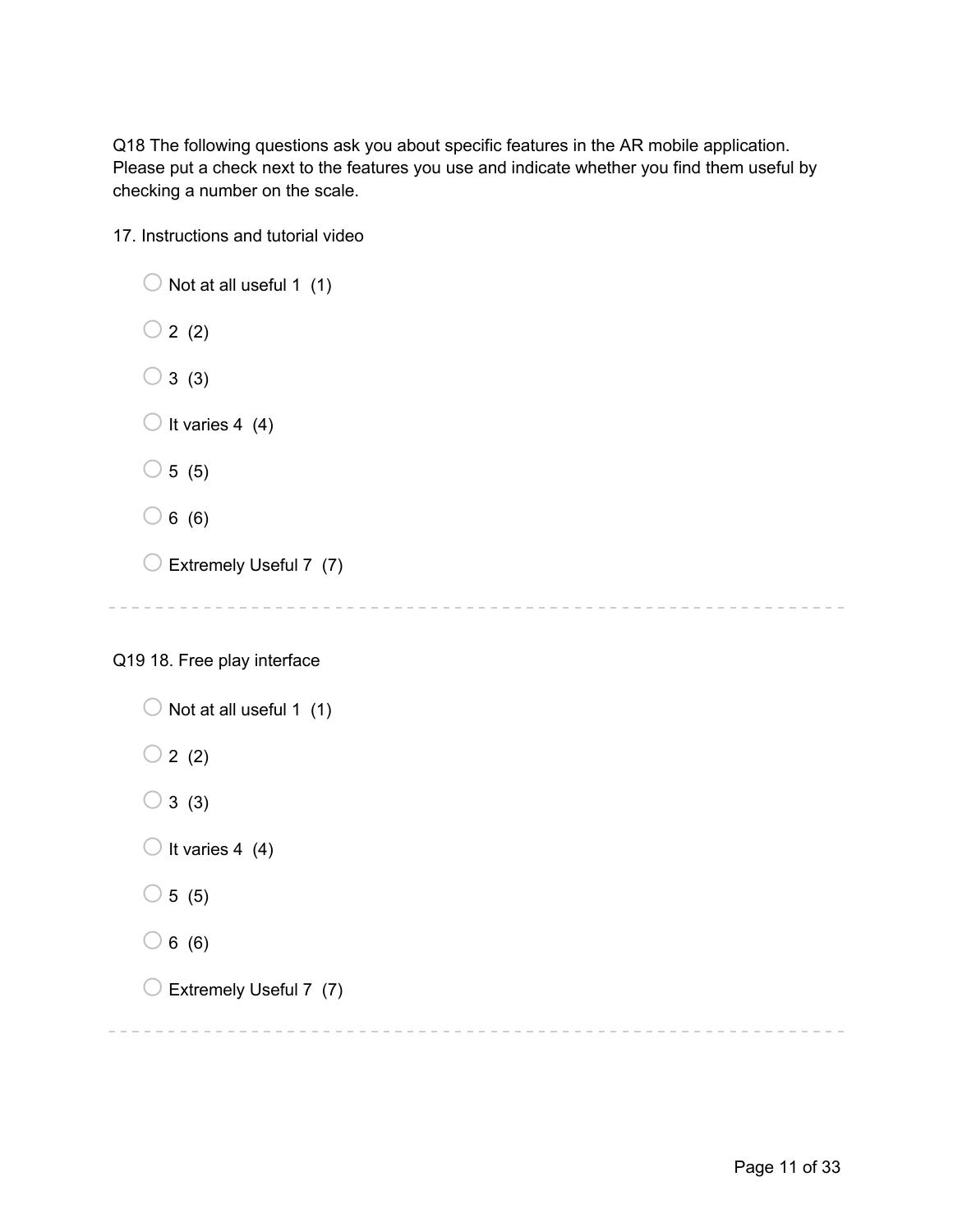Q18 The following questions ask you about specific features in the AR mobile application. Please put a check next to the features you use and indicate whether you find them useful by checking a number on the scale.

17. Instructions and tutorial video

```
\bigcirc Not at all useful 1 (1)
\bigcirc 2 (2)
\bigcirc 3 (3)
\bigcirc It varies 4 (4)
\bigcirc 5 (5)
\bigcirc 6 (6)
\bigcirc Extremely Useful 7 (7)
```
## Q19 18. Free play interface

```
\bigcirc Not at all useful 1 (1)
\bigcirc 2 (2)
\bigcirc 3 (3)
\bigcirc It varies 4 (4)
\bigcirc 5 (5)
\bigcirc 6 (6)
\bigcirc Extremely Useful 7 (7)
```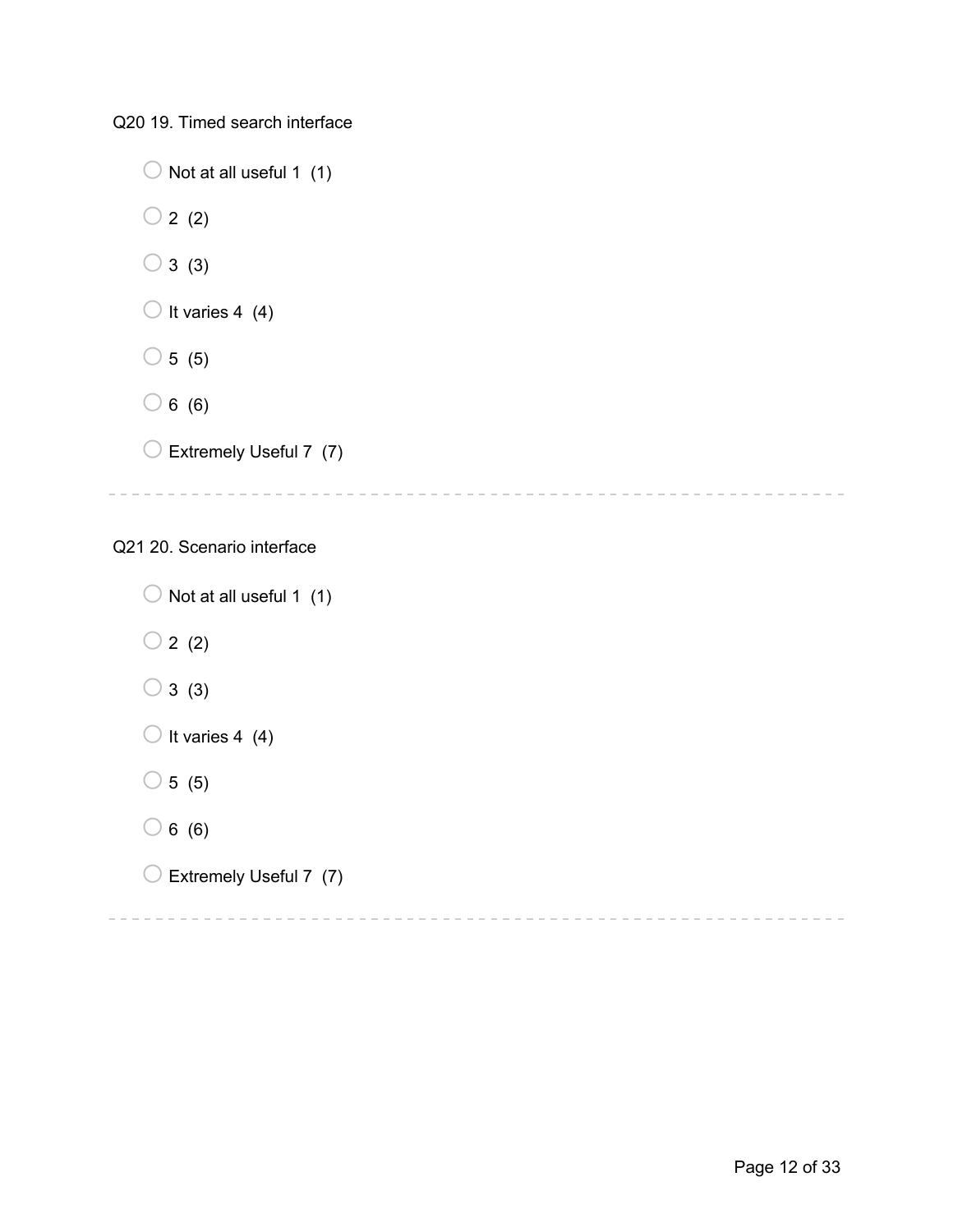Q20 19. Timed search interface

 $\bigcirc$  Not at all useful 1 (1)  $\bigcirc$  2 (2)  $\bigcirc$  3 (3)  $\bigcirc$  It varies 4 (4)  $\bigcirc$  5 (5)  $\bigcirc$  6 (6)  $\bigcirc$  Extremely Useful 7 (7) Q21 20. Scenario interface  $\bigcirc$  Not at all useful 1 (1)  $\bigcirc$  2 (2)  $\bigcirc$  3 (3)  $\bigcirc$  It varies 4 (4)

 $\circ$  5 (5)

- $\bigcirc$  6 (6)
- $\bigcirc$  Extremely Useful 7 (7)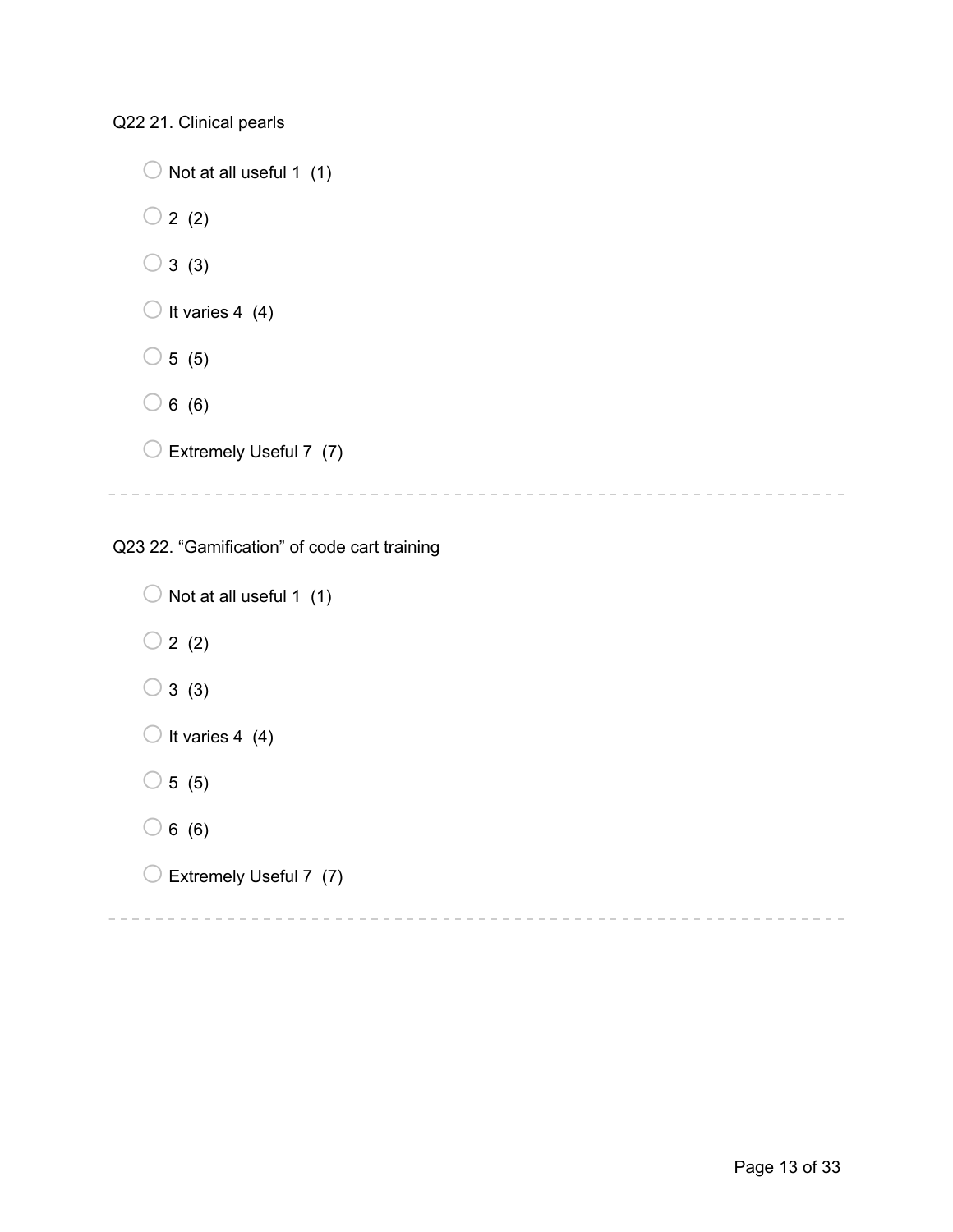Q22 21. Clinical pearls

 $\bigcirc$  Not at all useful 1 (1)  $\bigcirc$  2 (2)  $\bigcirc$  3 (3)  $\bigcirc$  It varies 4 (4)  $\bigcirc$  5 (5)  $\bigcirc$  6 (6)  $\bigcirc$  Extremely Useful 7 (7) 

Q23 22. "Gamification" of code cart training

 $\bigcirc$  Not at all useful 1 (1)  $\bigcirc$  2 (2)  $\bigcirc$  3 (3)  $\bigcirc$  It varies 4 (4)  $\circ$  5 (5)  $\bigcirc$  6 (6)  $\bigcirc$  Extremely Useful 7 (7)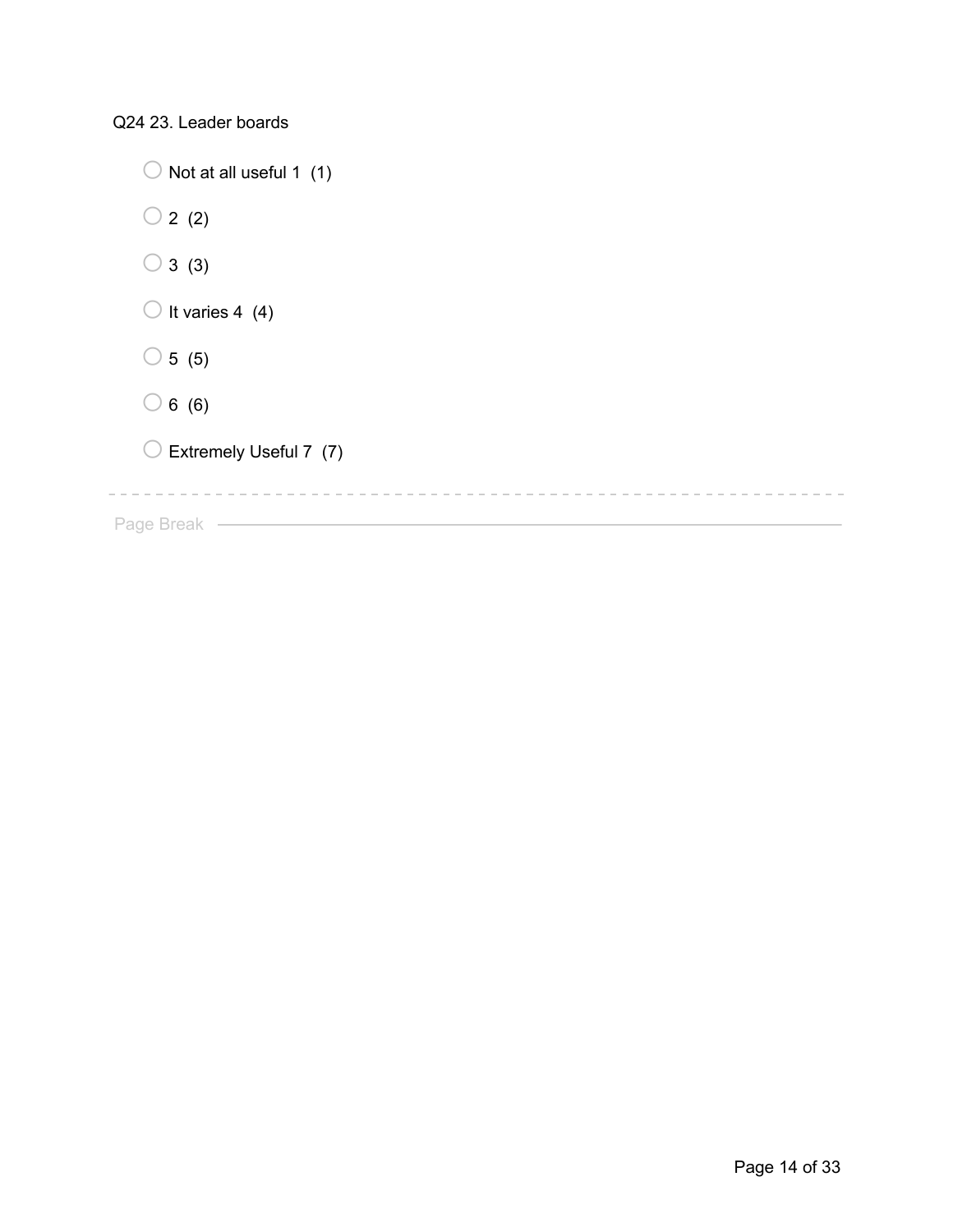Q24 23. Leader boards

| Not at all useful 1 (1)    |
|----------------------------|
| $\bigcirc$ 2 (2)           |
| $\bigcirc$ 3 (3)           |
| $\bigcirc$ It varies 4 (4) |
| $\bigcirc$ 5 (5)           |
| $\bigcirc$ 6 (6)           |
| Extremely Useful 7 (7)     |
|                            |
| Page Break                 |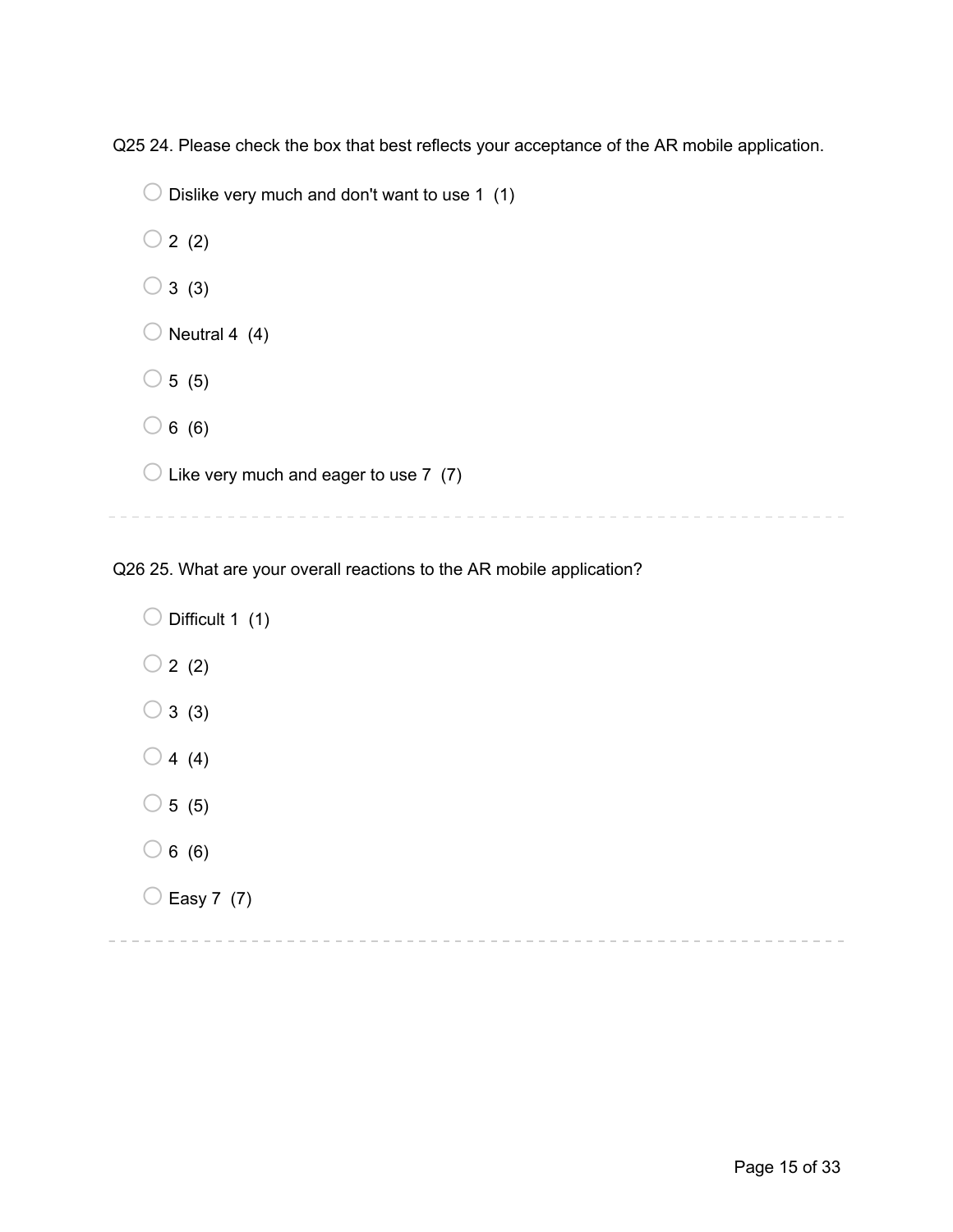Q25 24. Please check the box that best reflects your acceptance of the AR mobile application.

 $\bigcirc$  Dislike very much and don't want to use 1 (1)

 $\bigcirc$  2 (2)

- $\bigcirc$  3 (3)
- $\bigcirc$  Neutral 4 (4)
- $\bigcirc$  5 (5)
- $\bigcirc$  6 (6)

 $\bigcirc$  Like very much and eager to use 7 (7)

Q26 25. What are your overall reactions to the AR mobile application?

 $\bigcirc$  Difficult 1 (1)  $\bigcirc$  2 (2)  $\bigcirc$  3 (3)  $\bigcirc$  4 (4)

- $\circ$  5 (5)
- $\bigcirc$  6 (6)
- $\bigcirc$  Easy 7 (7)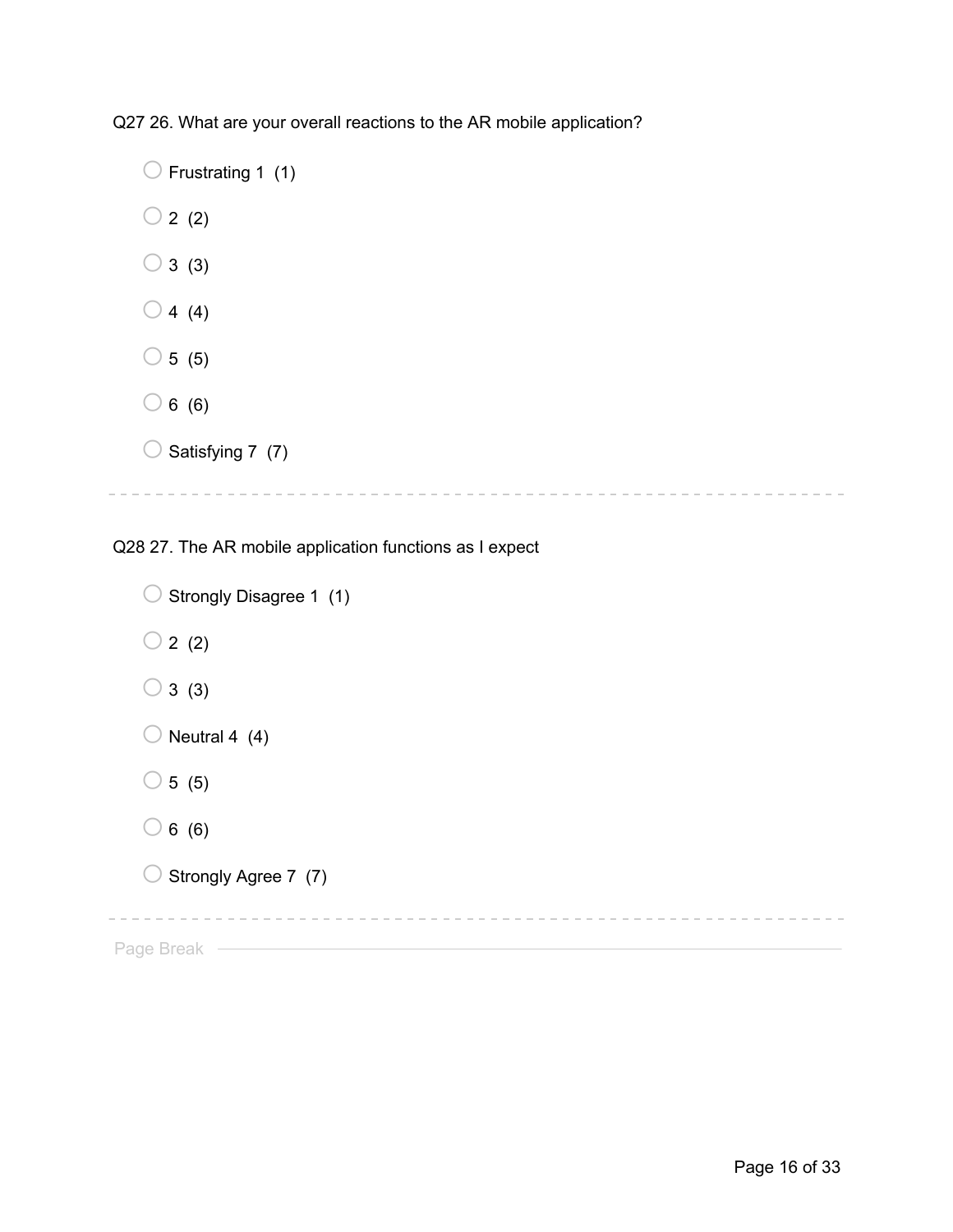Q27 26. What are your overall reactions to the AR mobile application?

 $\bigcirc$  Frustrating 1 (1)  $\bigcirc$  2 (2)  $\bigcirc$  3 (3)  $\bigcirc$  4 (4)  $\bigcirc$  5 (5)  $\bigcirc$  6 (6)  $\bigcirc$  Satisfying 7 (7)

Q28 27. The AR mobile application functions as I expect

```
\bigcirc Strongly Disagree 1 (1)
  \bigcirc 2 (2)
  \bigcirc 3 (3)
  \bigcirc Neutral 4 (4)
  \circ 5 (5)
  \bigcirc 6 (6)
  \bigcirc Strongly Agree 7 (7)
                   Page Break —
```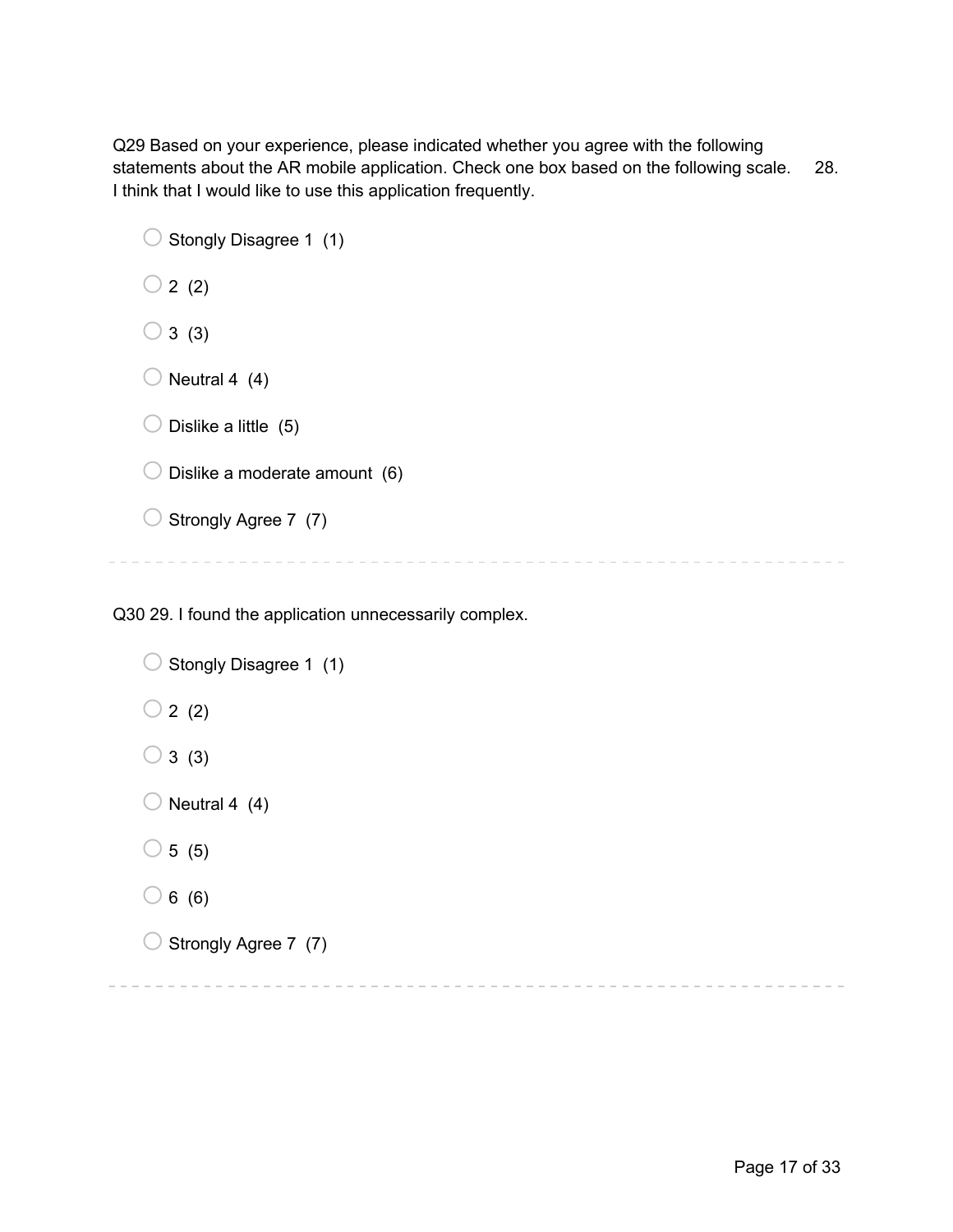Q29 Based on your experience, please indicated whether you agree with the following statements about the AR mobile application. Check one box based on the following scale. 28. I think that I would like to use this application frequently.

| Stongly Disagree 1 (1)        |
|-------------------------------|
| 2(2)                          |
| 3(3)                          |
| Neutral 4 (4)                 |
| Dislike a little (5)          |
| Dislike a moderate amount (6) |
| Strongly Agree 7 (7)          |
|                               |

Q30 29. I found the application unnecessarily complex.

```
\bigcirc Stongly Disagree 1 (1)
\bigcirc 2 (2)
\bigcirc 3 (3)
\bigcirc Neutral 4 (4)
\bigcirc 5 (5)
\bigcirc 6 (6)
\bigcirc Strongly Agree 7 (7)
```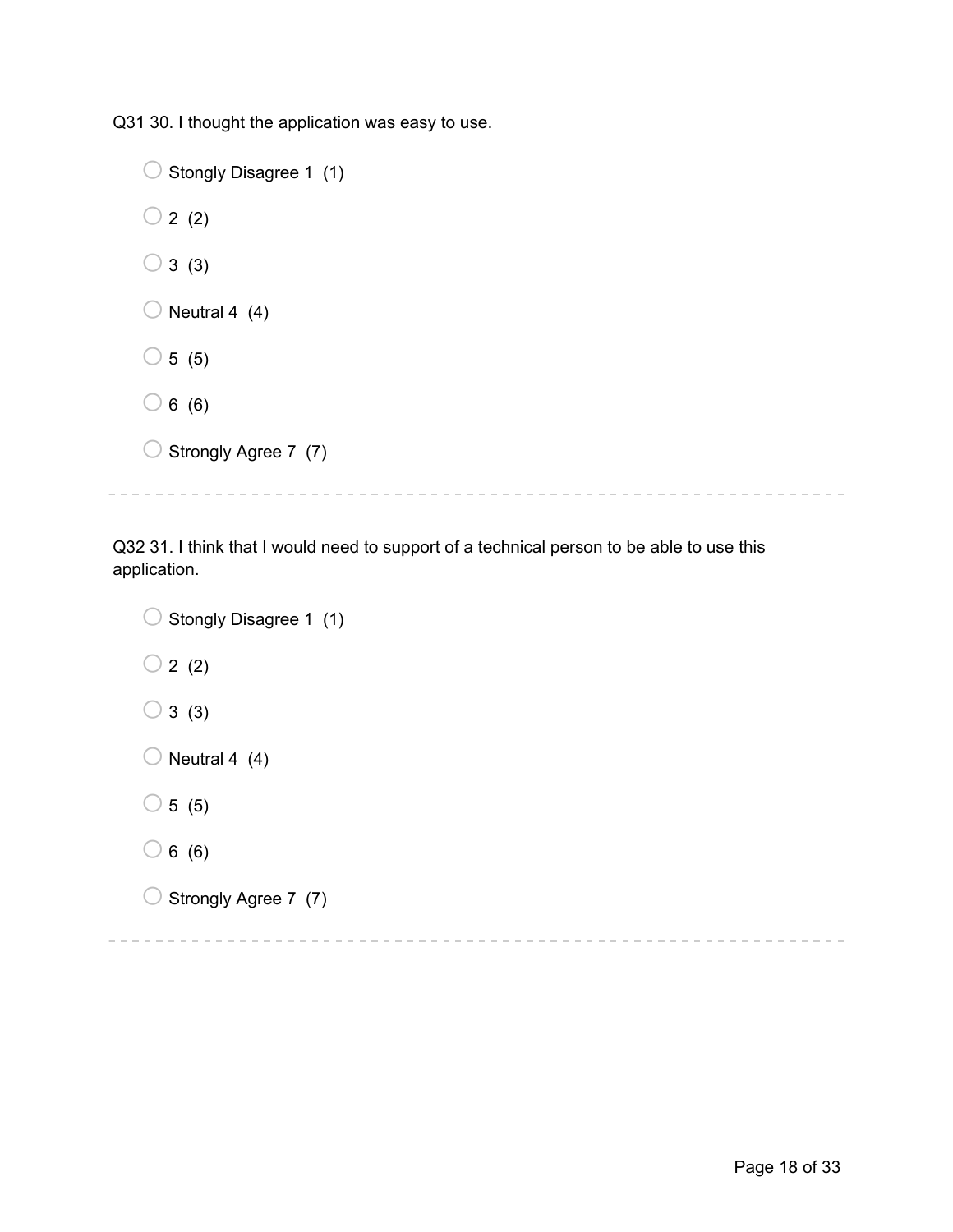Q31 30. I thought the application was easy to use.

| Stongly Disagree 1 (1) |  |
|------------------------|--|
| $\bigcirc$ 2 (2)       |  |
| $\bigcirc$ 3 (3)       |  |
| Neutral 4 (4)          |  |
| $\bigcirc$ 5 (5)       |  |
| $\bigcirc$ 6 (6)       |  |
| Strongly Agree 7 (7)   |  |
|                        |  |

Q32 31. I think that I would need to support of a technical person to be able to use this application.

 $\bigcirc$  Stongly Disagree 1 (1)  $\bigcirc$  2 (2)  $\bigcirc$  3 (3)  $\bigcirc$  Neutral 4 (4)  $\bigcirc$  5 (5)  $\bigcirc$  6 (6)  $\bigcirc$  Strongly Agree 7 (7)

 $\equiv \equiv \equiv 1$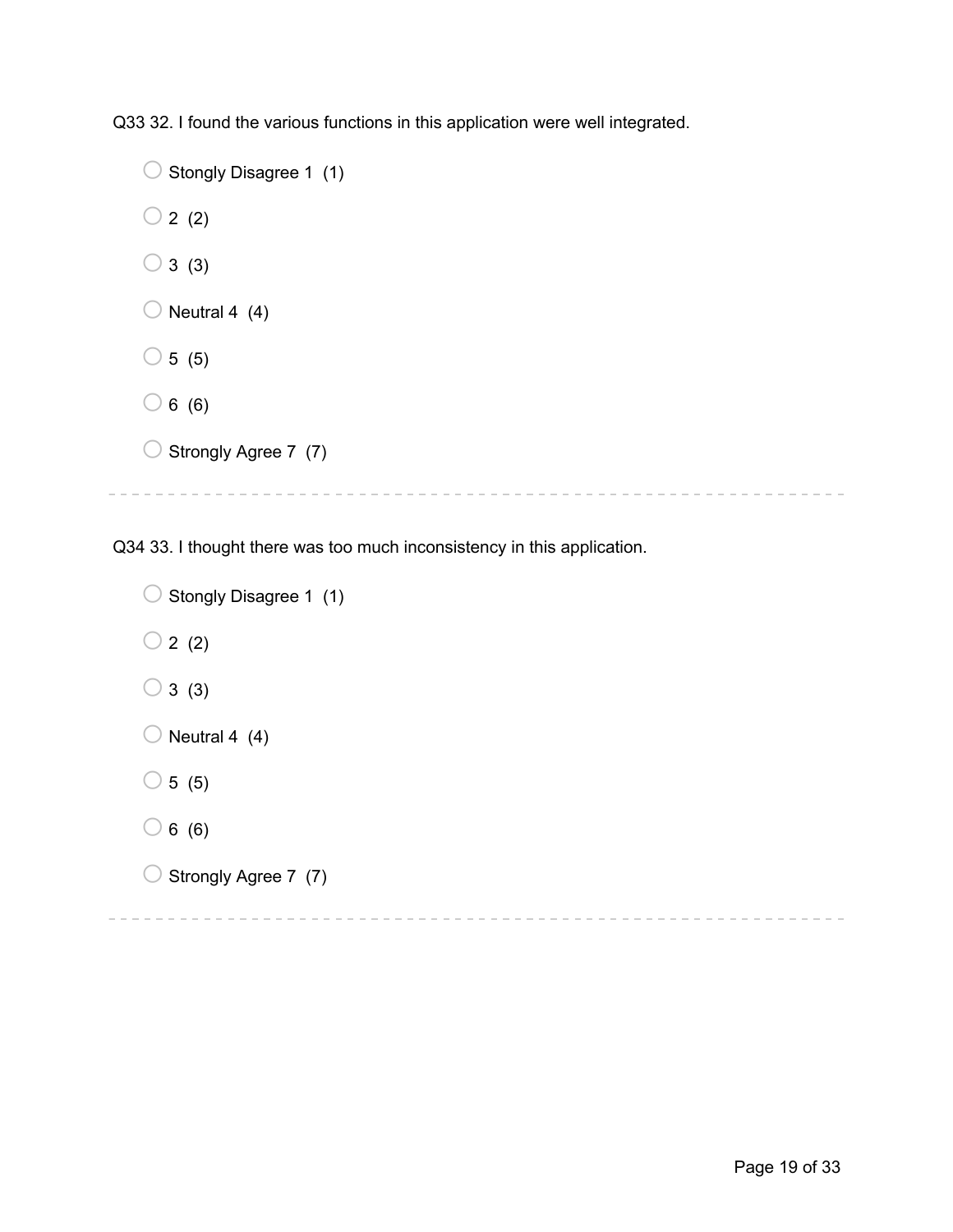Q33 32. I found the various functions in this application were well integrated.

```
\bigcirc Stongly Disagree 1 (1)
\bigcirc 2 (2)
\bigcirc 3 (3)
\bigcirc Neutral 4 (4)
\bigcirc 5 (5)
\bigcirc 6 (6)
\bigcirc Strongly Agree 7 (7)
```
Q34 33. I thought there was too much inconsistency in this application.

```
\bigcirc Stongly Disagree 1 (1)
\bigcirc 2 (2)
\bigcirc 3 (3)
\bigcirc Neutral 4 (4)
\bigcirc 5 (5)
\bigcirc 6 (6)
\bigcirc Strongly Agree 7 (7)
```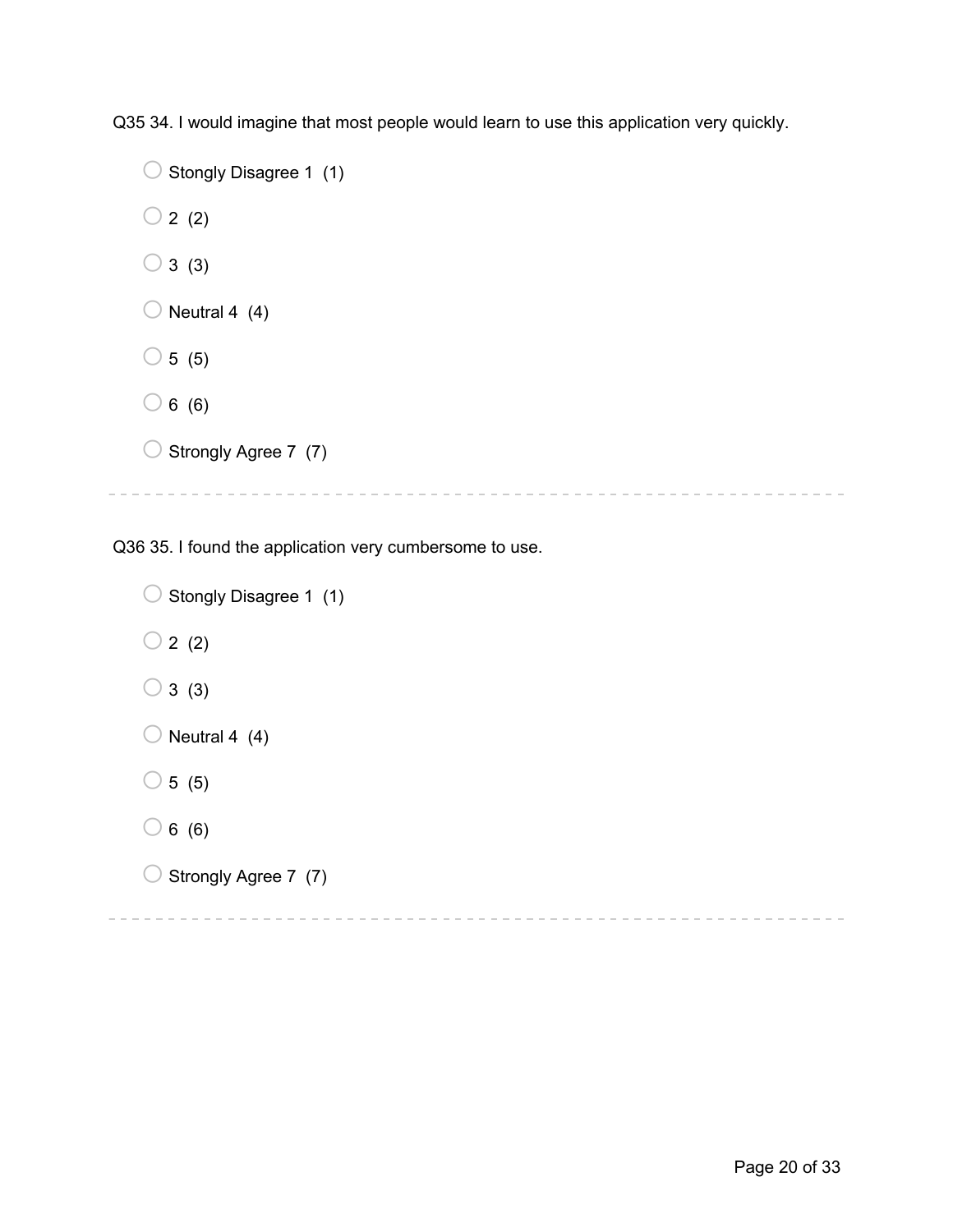Q35 34. I would imagine that most people would learn to use this application very quickly.

```
\bigcirc Stongly Disagree 1 (1)
\bigcirc 2 (2)
\bigcirc 3 (3)
\bigcirc Neutral 4 (4)
\bigcirc 5 (5)
\bigcirc 6 (6)
\bigcirc Strongly Agree 7 (7)
```
Q36 35. I found the application very cumbersome to use.

```
\bigcirc Stongly Disagree 1 (1)
\bigcirc 2 (2)
\bigcirc 3 (3)
\bigcirc Neutral 4 (4)
\circ 5 (5)
\bigcirc 6 (6)
\bigcirc Strongly Agree 7 (7)
```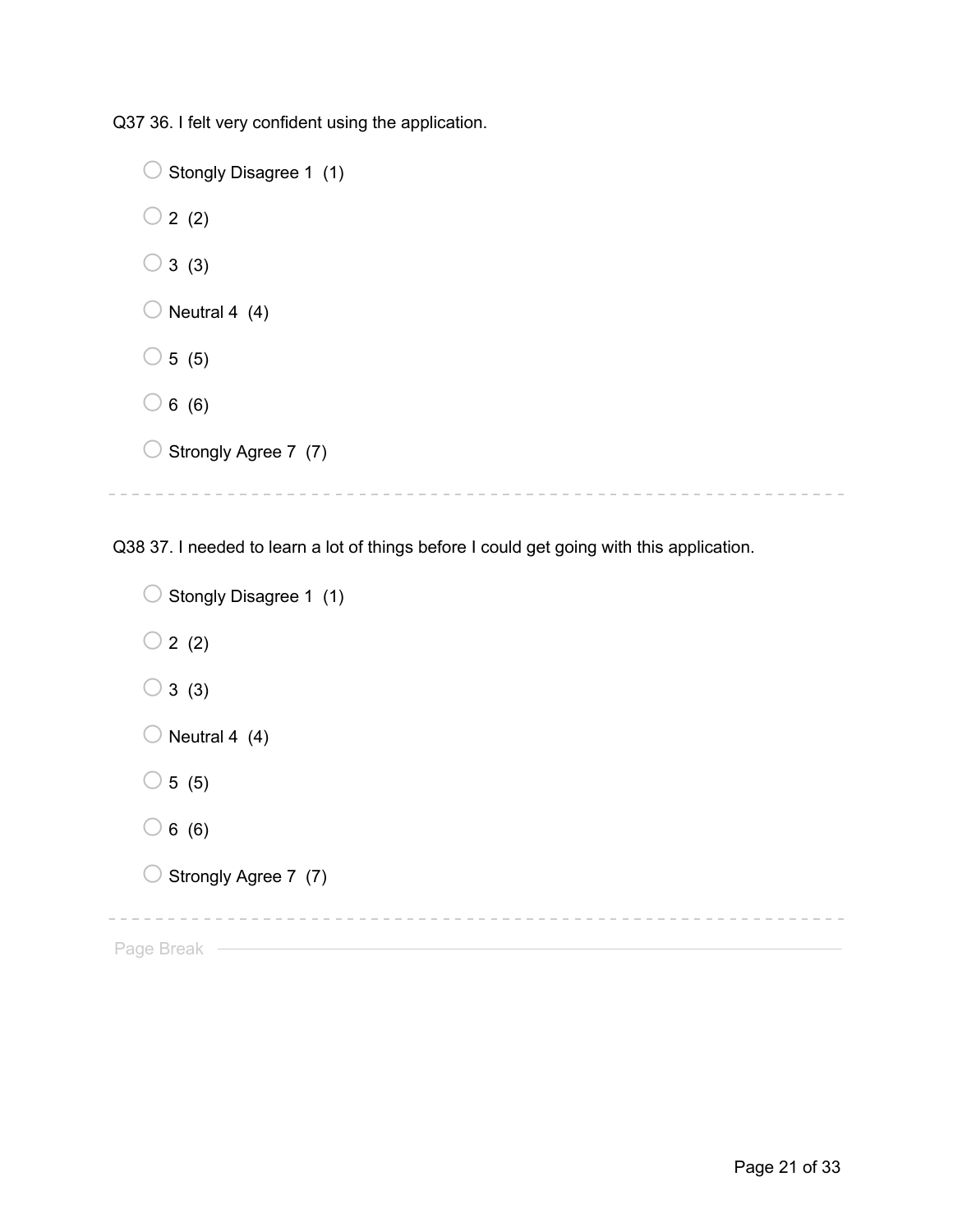Q37 36. I felt very confident using the application.

```
\bigcirc Stongly Disagree 1 (1)
\bigcirc 2 (2)
\bigcirc 3 (3)
\bigcirc Neutral 4 (4)
\bigcirc 5 (5)
\bigcirc 6 (6)
\bigcirc Strongly Agree 7 (7)
```
Q38 37. I needed to learn a lot of things before I could get going with this application.

```
\bigcirc Stongly Disagree 1 (1)
  \bigcirc 2 (2)
  \bigcirc 3 (3)
  \bigcirc Neutral 4 (4)
  \circ 5 (5)
  \bigcirc 6 (6)
  \bigcirc Strongly Agree 7 (7)
                    Page Break —
```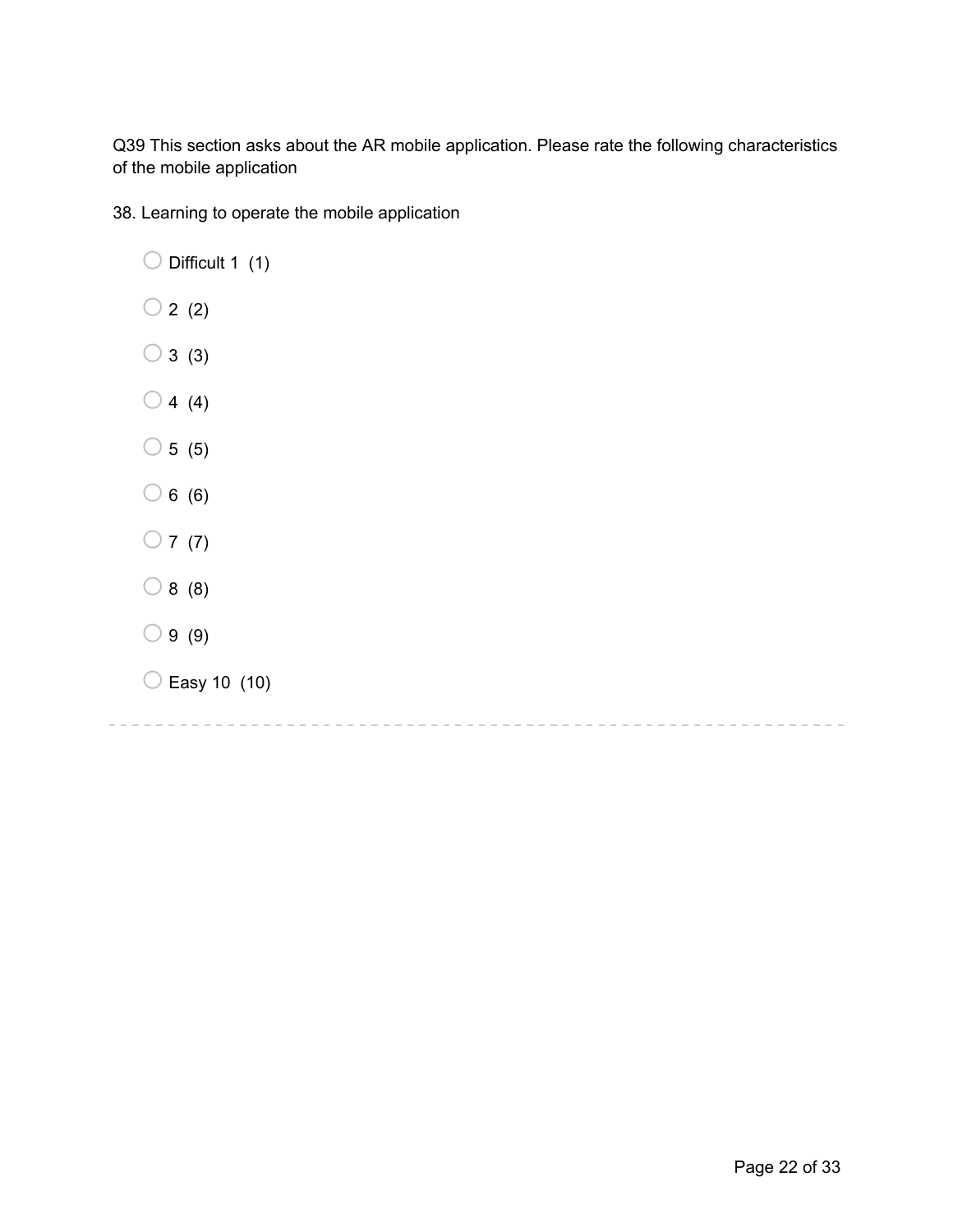Q39 This section asks about the AR mobile application. Please rate the following characteristics of the mobile application

38. Learning to operate the mobile application

| Difficult 1 (1)    |
|--------------------|
| 2(2)<br>$\bigcirc$ |
| 3(3)<br>$\bigcirc$ |
| 4(4)<br>$\bigcirc$ |
| 5(5)<br>$\bigcirc$ |
| 6(6)<br>$\bigcirc$ |
| $\bigcirc$ 7 (7)   |
| $\bigcirc$ 8 (8)   |
| 9(9)<br>C          |
| Easy 10 (10)<br>Ć  |
|                    |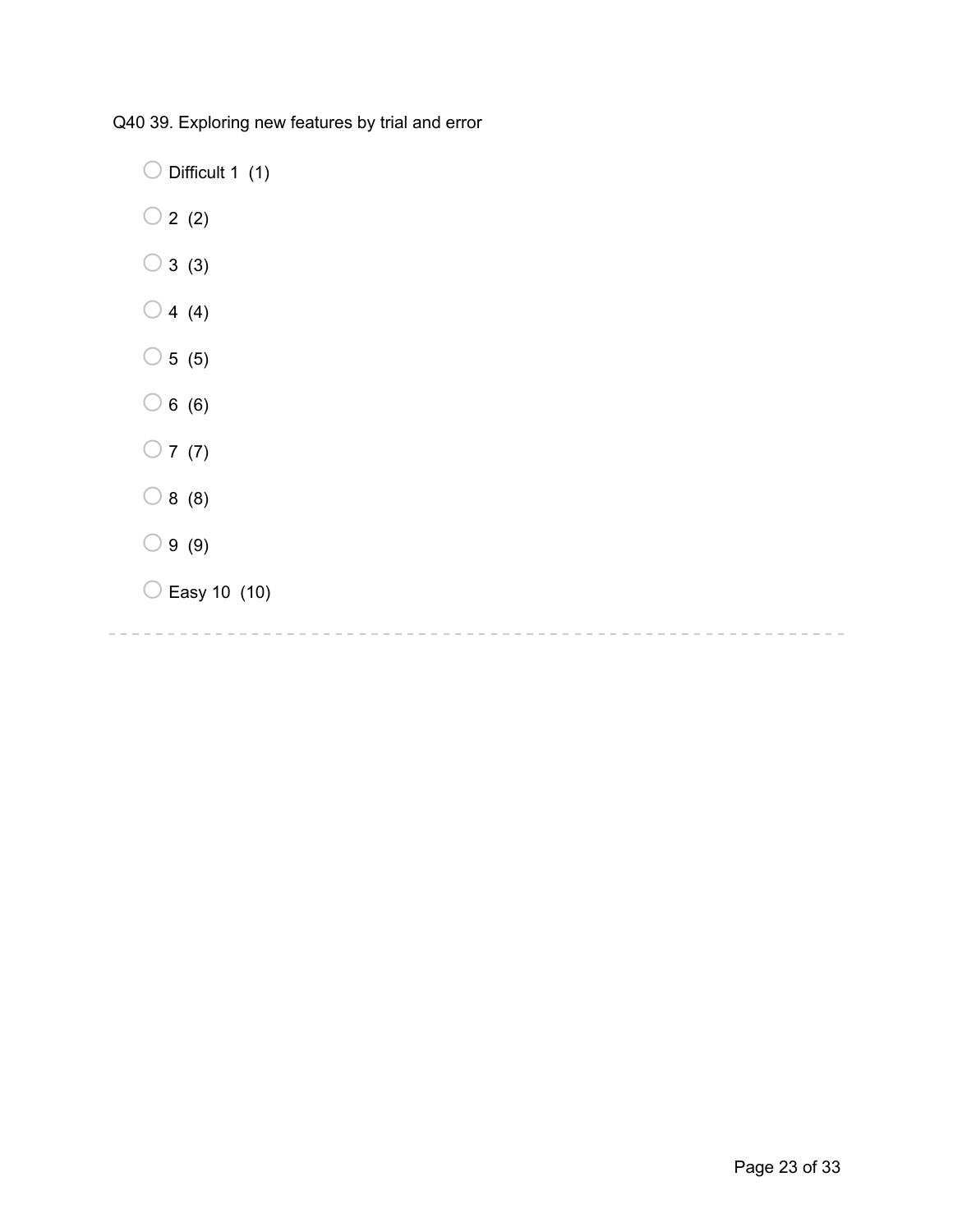Q40 39. Exploring new features by trial and error

 $\bigcirc$  Difficult 1 (1)

- $\bigcirc$  2 (2)
- $\bigcirc$  3 (3)
- $\bigcirc$  4 (4)
- $\bigcirc$  5 (5)
- $\bigcirc$  6 (6)
- $\bigcirc$  7 (7)
- $\bigcirc$  8 (8)
- $\bigcirc$  9 (9)
- $\bigcirc$  Easy 10 (10)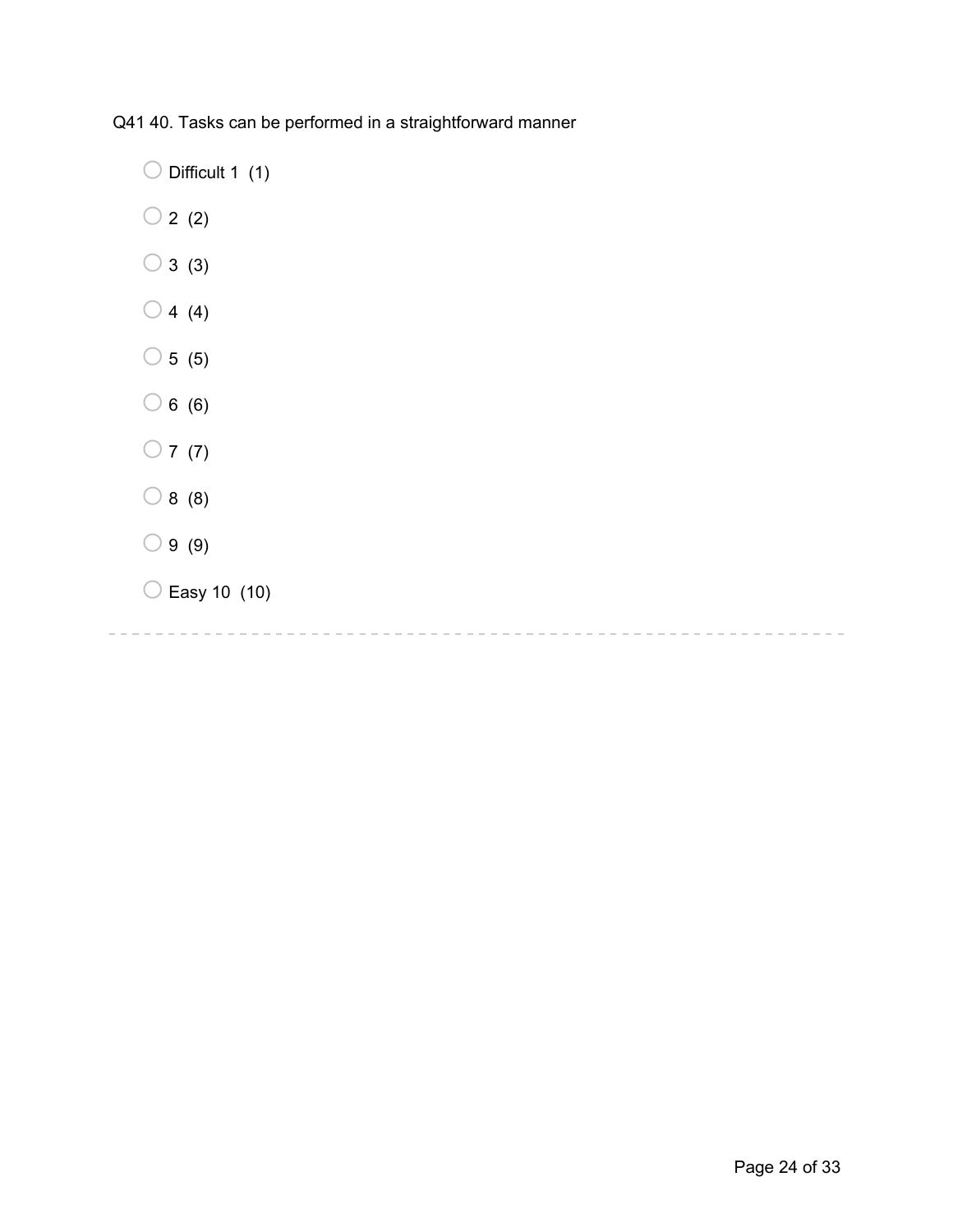Q41 40. Tasks can be performed in a straightforward manner

 $\bigcirc$  Difficult 1 (1)

- $\bigcirc$  2 (2)
- $\bigcirc$  3 (3)
- $\bigcirc$  4 (4)
- $\bigcirc$  5 (5)
- $\bigcirc$  6 (6)
- $\bigcirc$  7 (7)
- $\bigcirc$  8 (8)
- $\bigcirc$  9 (9)
- $\bigcirc$  Easy 10 (10)

-----------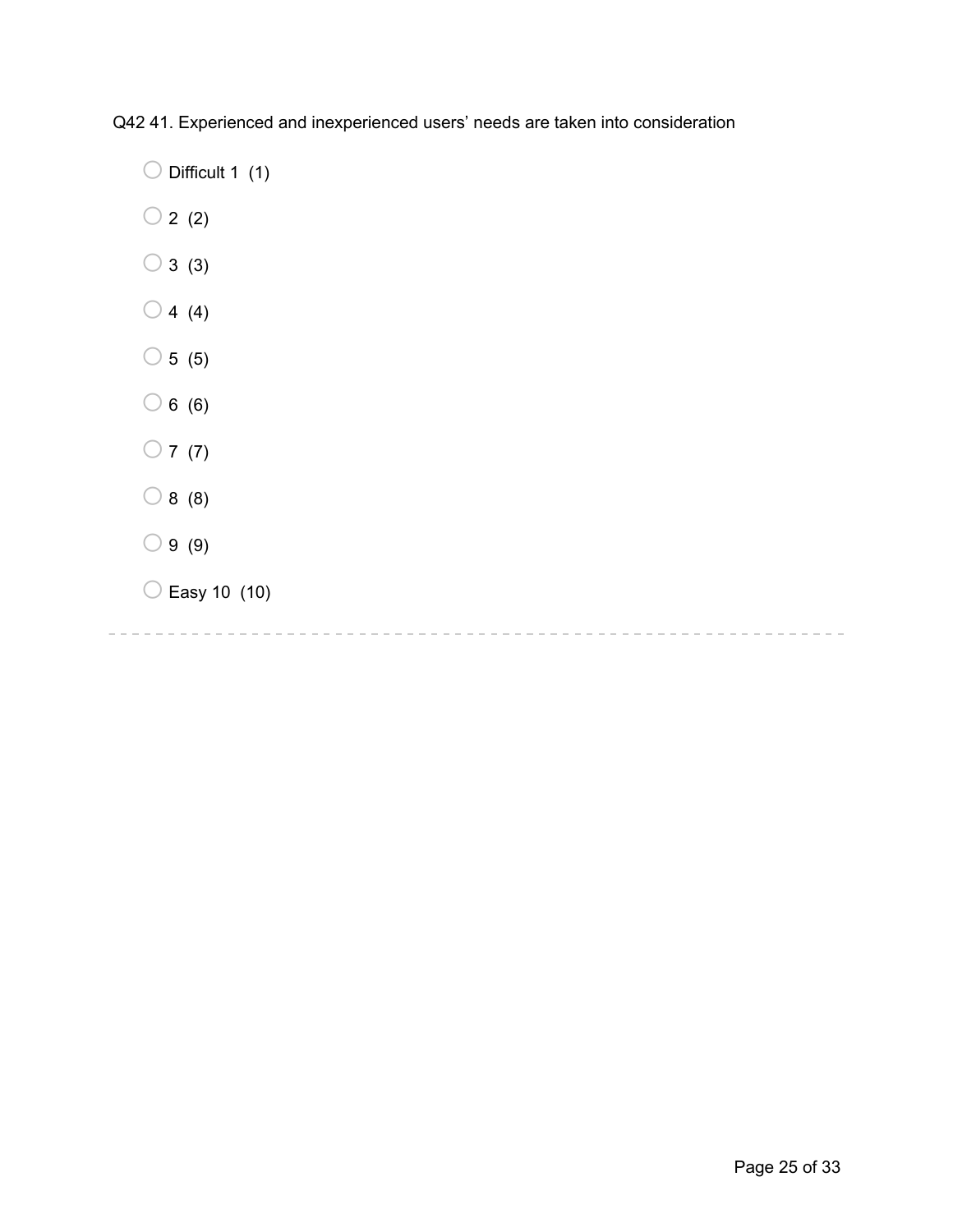Q42 41. Experienced and inexperienced users' needs are taken into consideration

 $\bigcirc$  Difficult 1 (1)

- $\bigcirc$  2 (2)
- $\bigcirc$  3 (3)
- $\bigcirc$  4 (4)
- $\bigcirc$  5 (5)
- $\bigcirc$  6 (6)
- $\bigcirc$  7 (7)
- $\bigcirc$  8 (8)
- $\bigcirc$  9 (9)
- $\bigcirc$  Easy 10 (10)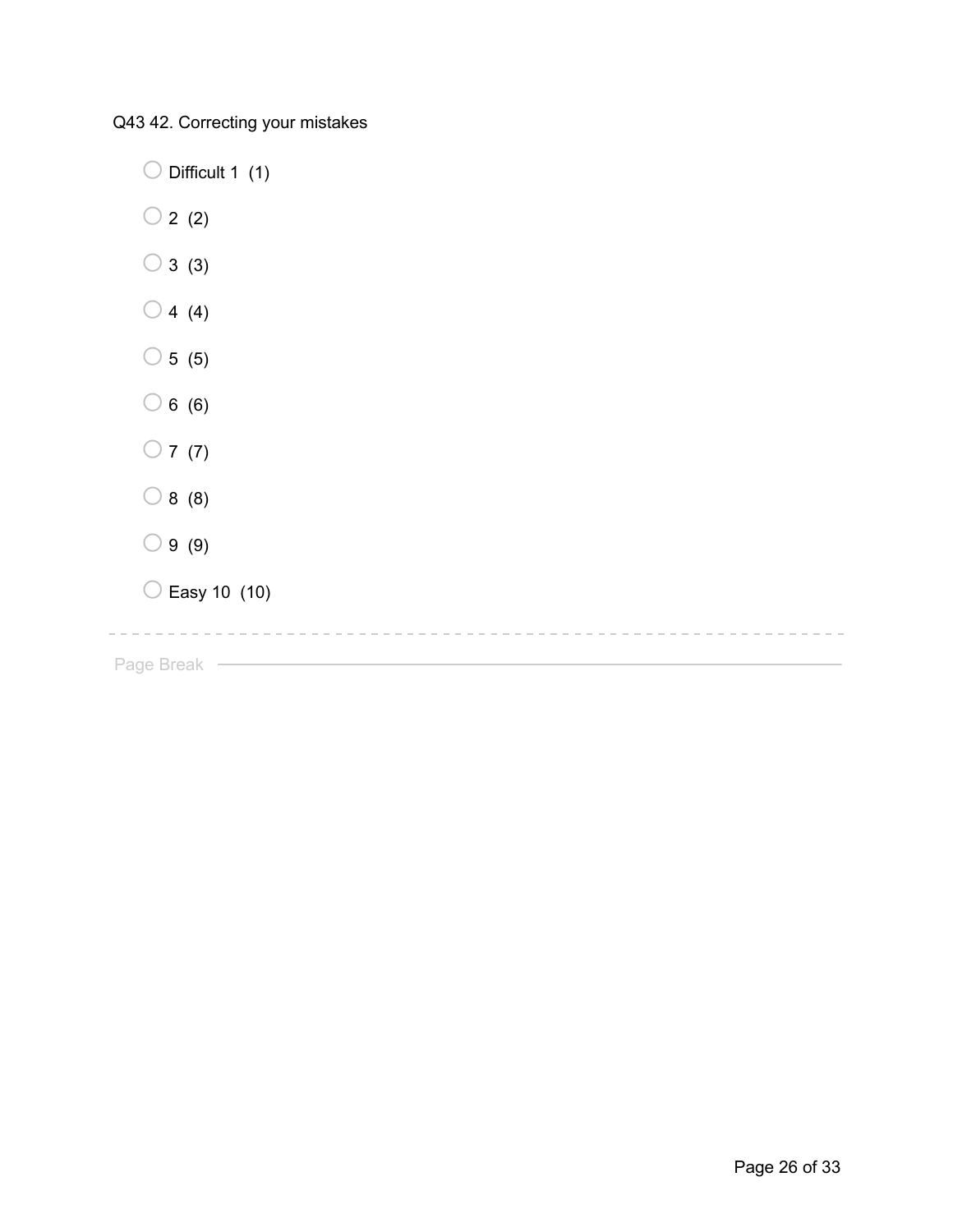Q43 42. Correcting your mistakes

 $\bigcirc$  Difficult 1 (1)  $\bigcirc$  2 (2)  $\bigcirc$  3 (3)  $\bigcirc$  4 (4)  $\bigcirc$  5 (5)  $\bigcirc$  6 (6)  $\bigcirc$  7 (7)  $\bigcirc$  8 (8)  $\bigcirc$  9 (9)  $\bigcirc$  Easy 10 (10) Page Break – <u>Denominal Page Break</u>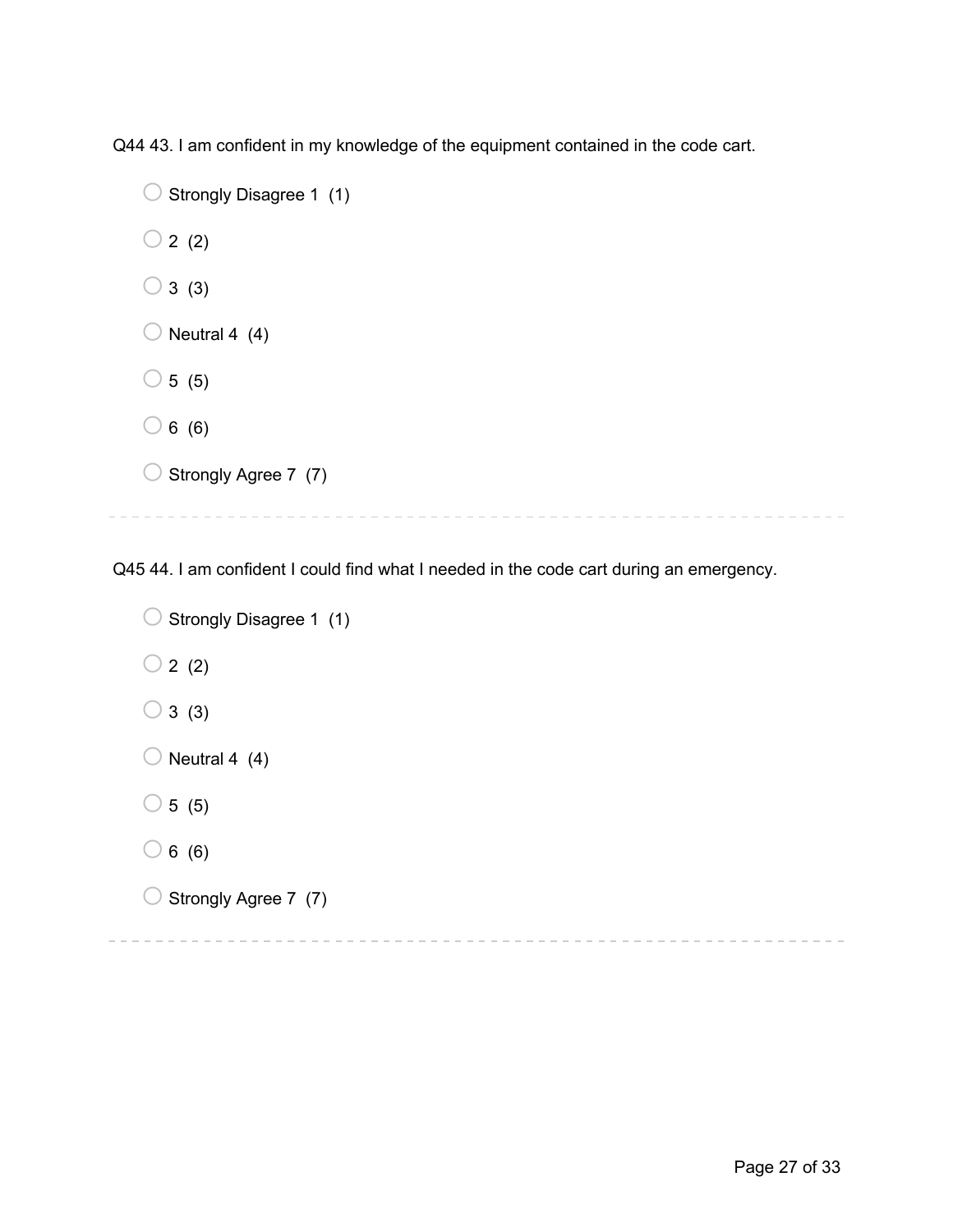Q44 43. I am confident in my knowledge of the equipment contained in the code cart.

```
O Strongly Disagree 1 (1)
\bigcirc 2 (2)
\bigcirc 3 (3)
\bigcirc Neutral 4 (4)
\bigcirc 5 (5)
\bigcirc 6 (6)
\bigcirc Strongly Agree 7 (7)
```
Q45 44. I am confident I could find what I needed in the code cart during an emergency.

```
\bigcirc Strongly Disagree 1 (1)
\bigcirc 2 (2)
\bigcirc 3 (3)
\bigcirc Neutral 4 (4)
\circ 5 (5)
\bigcirc 6 (6)
\bigcirc Strongly Agree 7 (7)
```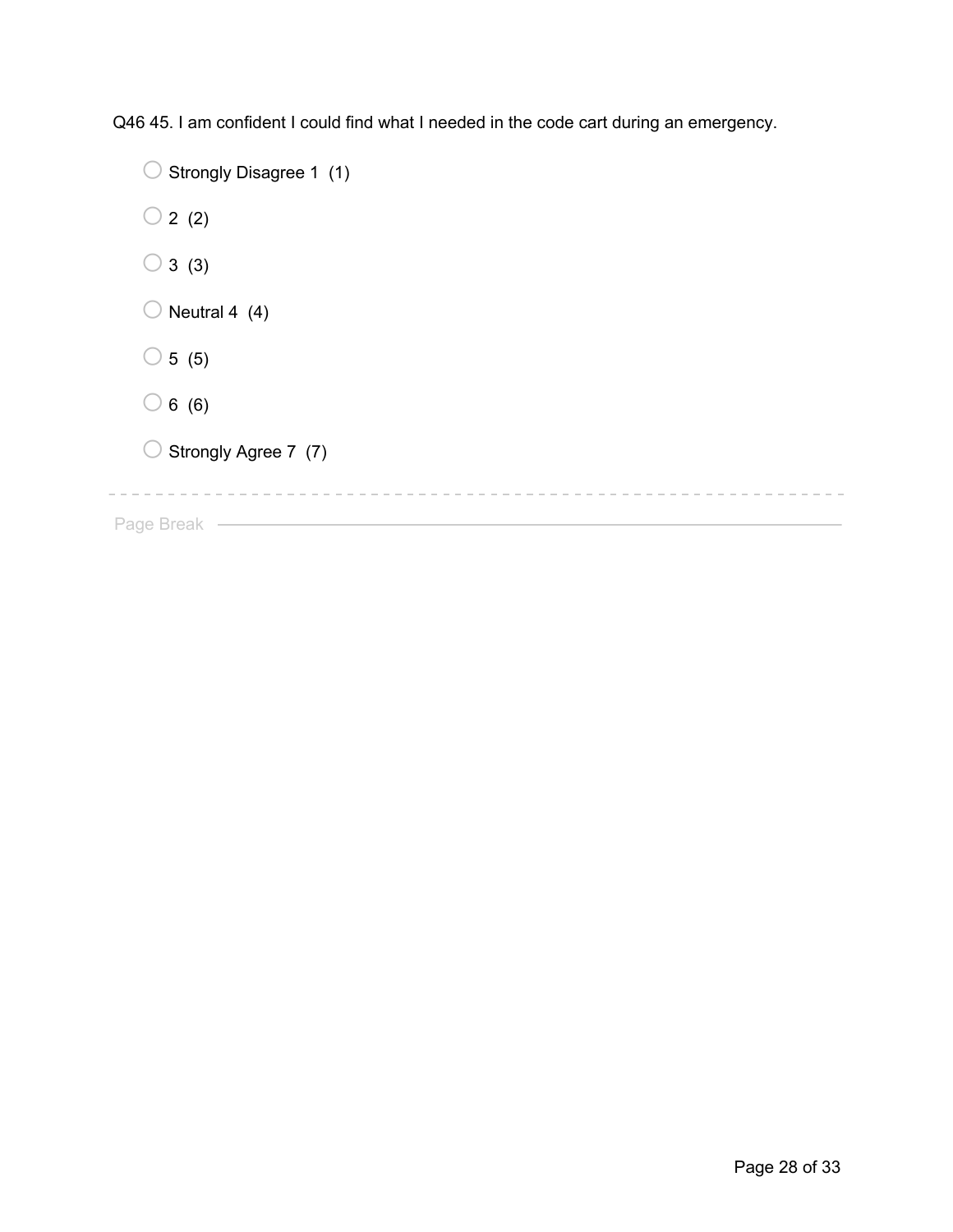Q46 45. I am confident I could find what I needed in the code cart during an emergency.

| Strongly Disagree 1 (1) |  |
|-------------------------|--|
| 2(2)                    |  |
| 3(3)                    |  |
| Neutral 4 (4)           |  |
| 5(5)                    |  |
| 6(6)                    |  |
| Strongly Agree 7 (7)    |  |
|                         |  |

Page Break – <u>Electron March 2008</u>

 $\sim$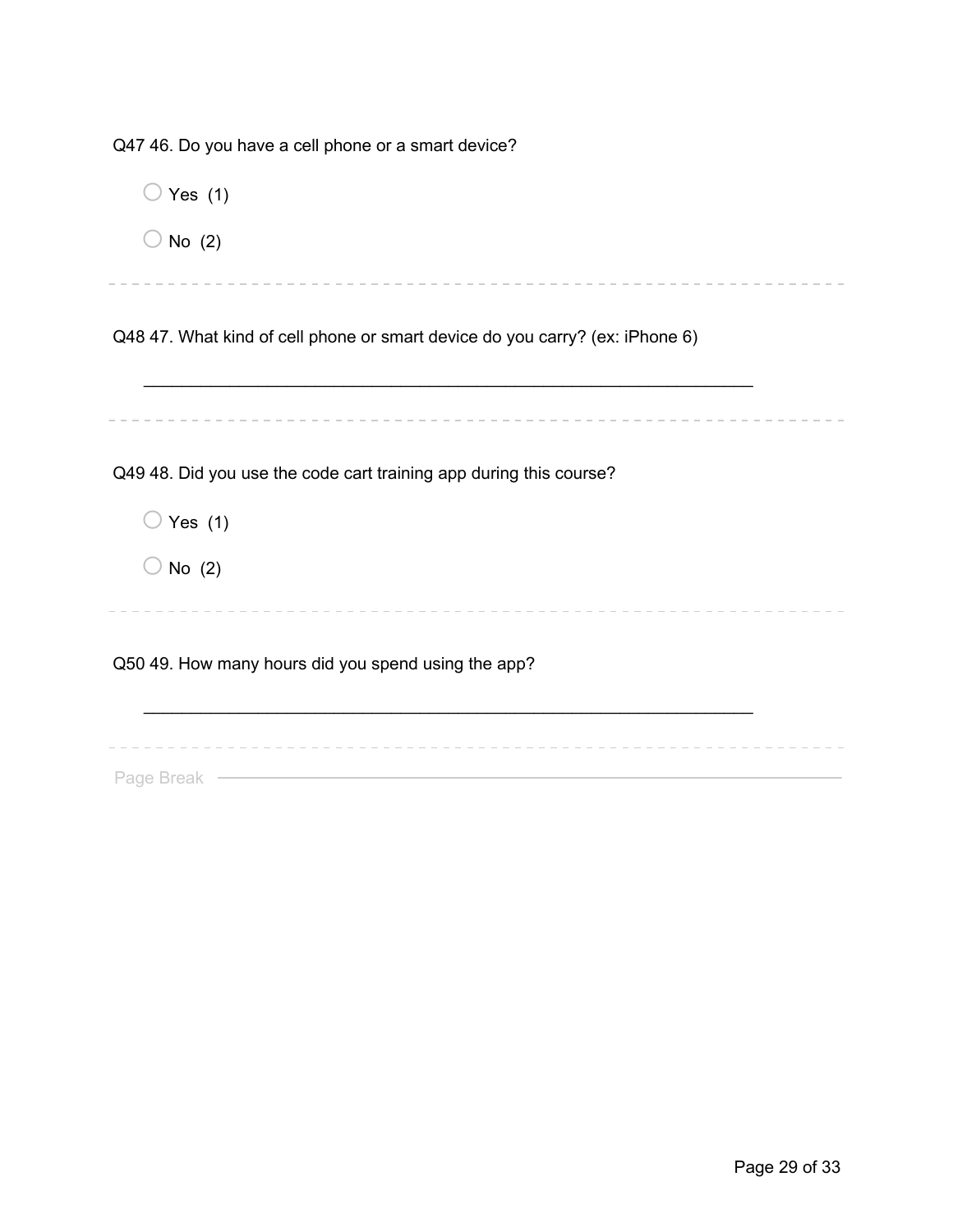Q47 46. Do you have a cell phone or a smart device?

| Yes $(1)$                                                                    |
|------------------------------------------------------------------------------|
| No $(2)$                                                                     |
|                                                                              |
| Q48 47. What kind of cell phone or smart device do you carry? (ex: iPhone 6) |
|                                                                              |
|                                                                              |
|                                                                              |
| Q49 48. Did you use the code cart training app during this course?           |
| Yes $(1)$                                                                    |
| No $(2)$                                                                     |
|                                                                              |
| Q50 49. How many hours did you spend using the app?                          |
|                                                                              |
|                                                                              |
| Page Break                                                                   |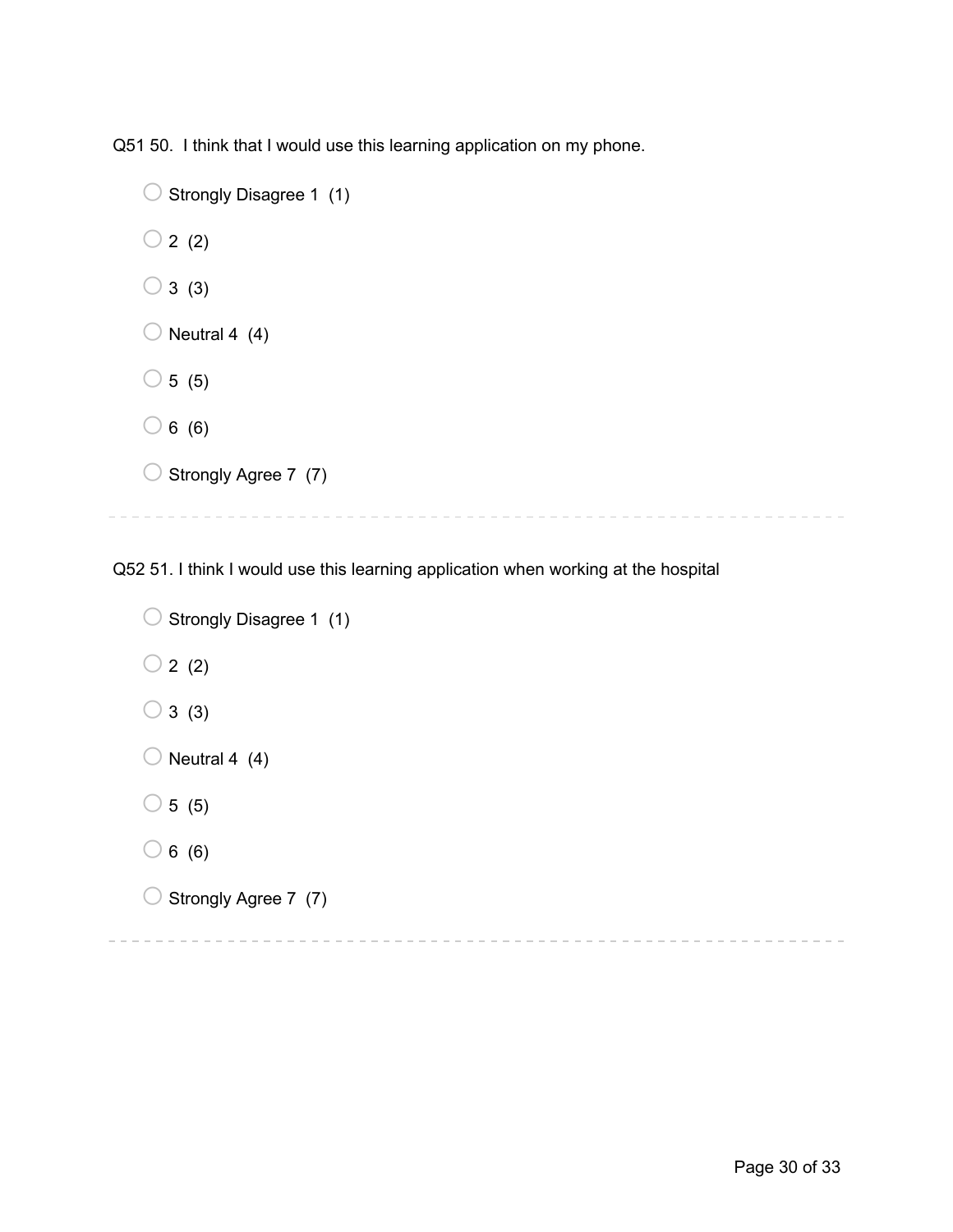Q51 50. I think that I would use this learning application on my phone.

```
\bigcirc Strongly Disagree 1 (1)
\bigcirc 2 (2)
\bigcirc 3 (3)
\bigcirc Neutral 4 (4)
\bigcirc 5 (5)
\bigcirc 6 (6)
\bigcirc Strongly Agree 7 (7)
```
Q52 51. I think I would use this learning application when working at the hospital

```
\bigcirc Strongly Disagree 1 (1)
\bigcirc 2 (2)
\bigcirc 3 (3)
\bigcirc Neutral 4 (4)
\circ 5 (5)
\bigcirc 6 (6)
O Strongly Agree 7 (7)
```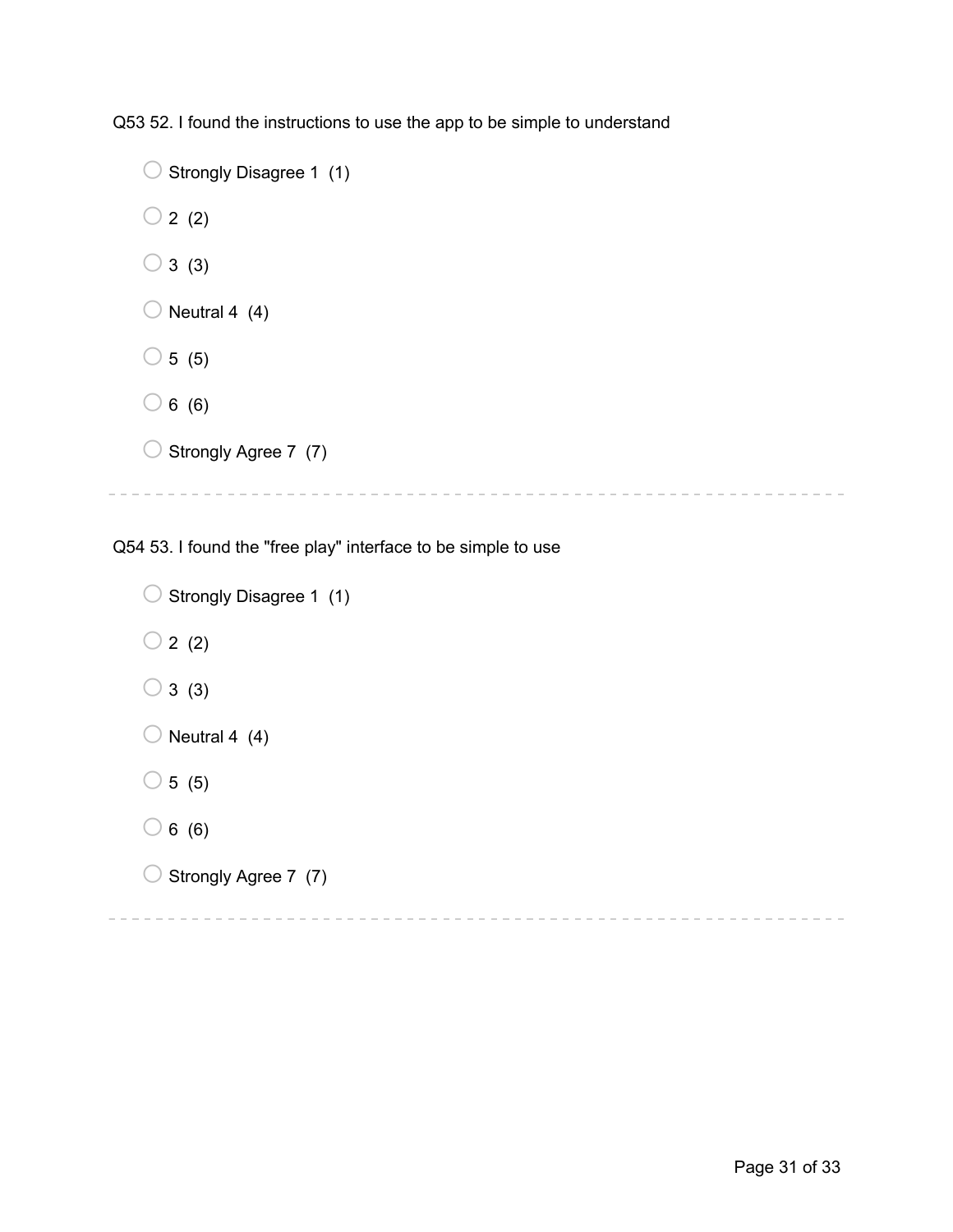Q53 52. I found the instructions to use the app to be simple to understand

```
\bigcirc Strongly Disagree 1 (1)
\bigcirc 2 (2)
\bigcirc 3 (3)
\bigcirc Neutral 4 (4)
\bigcirc 5 (5)
\bigcirc 6 (6)
\bigcirc Strongly Agree 7 (7)
```
Q54 53. I found the "free play" interface to be simple to use

```
\bigcirc Strongly Disagree 1 (1)
\bigcirc 2 (2)
\bigcirc 3 (3)
\bigcirc Neutral 4 (4)
\circ 5 (5)
\bigcirc 6 (6)
\bigcirc Strongly Agree 7 (7)
```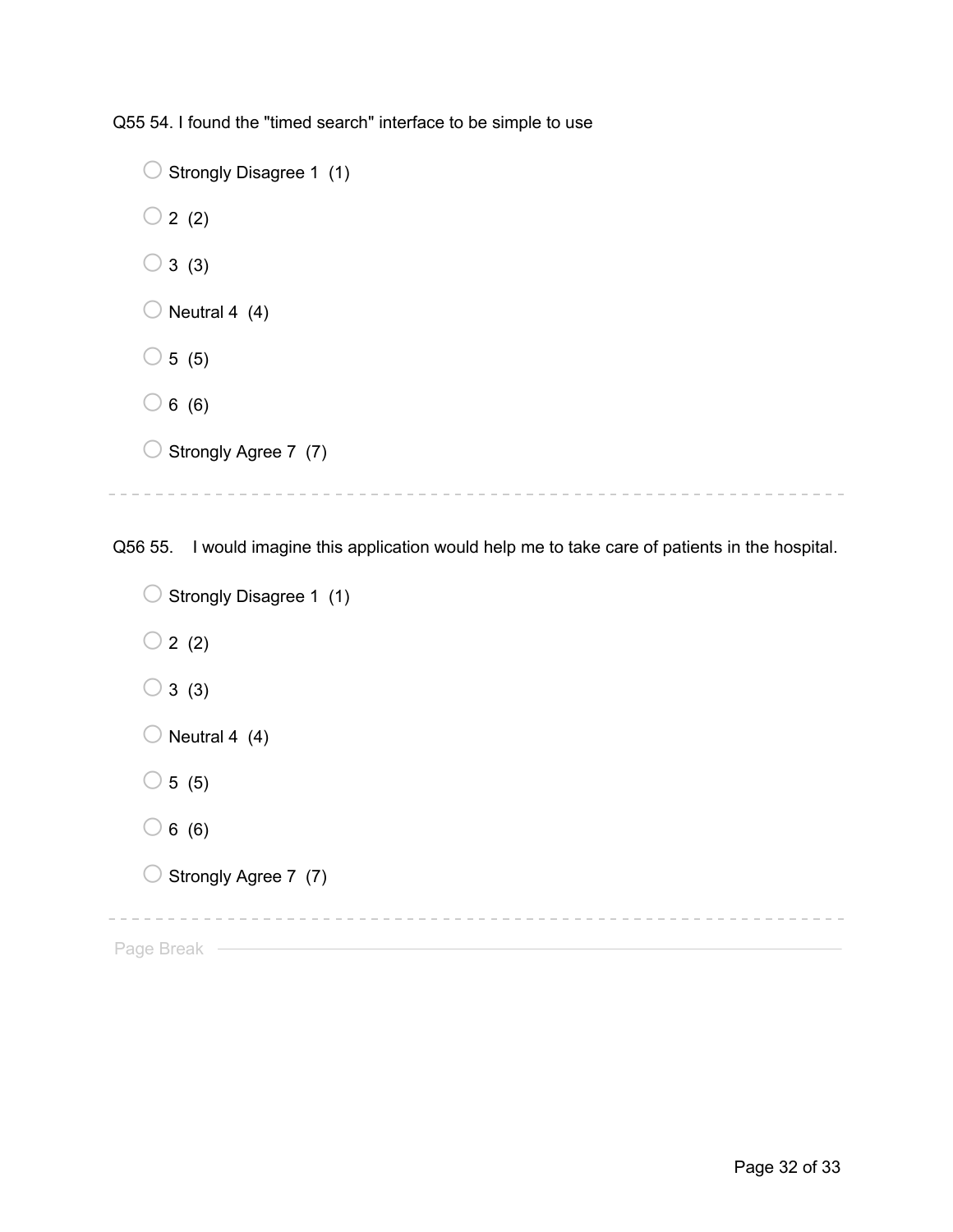Q55 54. I found the "timed search" interface to be simple to use

```
\bigcirc Strongly Disagree 1 (1)
\bigcirc 2 (2)
\bigcirc 3 (3)
\bigcirc Neutral 4 (4)
\bigcirc 5 (5)
\bigcirc 6 (6)
\bigcirc Strongly Agree 7 (7)
```
Q56 55. I would imagine this application would help me to take care of patients in the hospital.

```
\bigcirc Strongly Disagree 1 (1)
  \bigcirc 2 (2)
  \bigcirc 3 (3)
  \bigcirc Neutral 4 (4)
  \circ 5 (5)
  \bigcirc 6 (6)
  O Strongly Agree 7 (7)
                  Page Break —
```